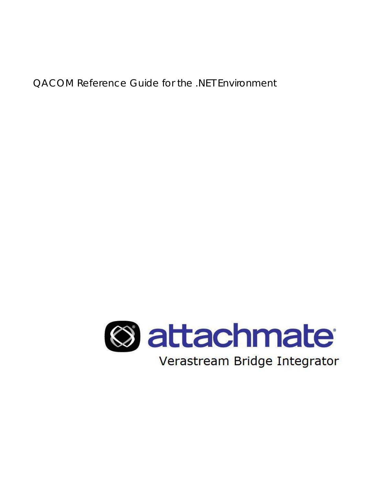QACOM Reference Guide for the .NET Environment

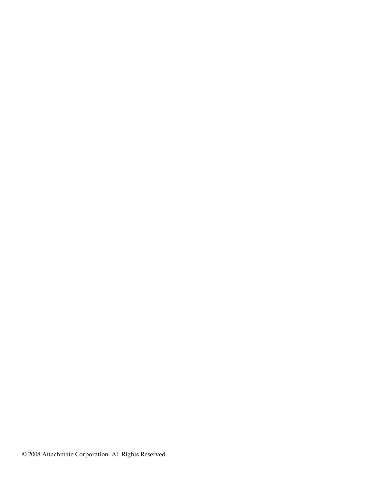© 2008 Attachmate Corporation. All Rights Reserved.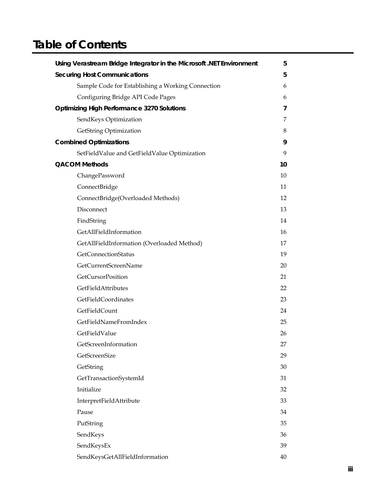# **Table of Contents**

| Using Verastream Bridge Integrator in the Microsoft .NET Environment | 5  |
|----------------------------------------------------------------------|----|
| <b>Securing Host Communications</b>                                  | 5  |
| Sample Code for Establishing a Working Connection                    | 6  |
| Configuring Bridge API Code Pages                                    | 6  |
| <b>Optimizing High Performance 3270 Solutions</b>                    | 7  |
| SendKeys Optimization                                                | 7  |
| GetString Optimization                                               | 8  |
| <b>Combined Optimizations</b>                                        | 9  |
| SetFieldValue and GetFieldValue Optimization                         | 9  |
| <b>QACOM Methods</b>                                                 | 10 |
| ChangePassword                                                       | 10 |
| ConnectBridge                                                        | 11 |
| ConnectBridge(Overloaded Methods)                                    | 12 |
| Disconnect                                                           | 13 |
| FindString                                                           | 14 |
| GetAllFieldInformation                                               | 16 |
| GetAllFieldInformation (Overloaded Method)                           | 17 |
| GetConnectionStatus                                                  | 19 |
| GetCurrentScreenName                                                 | 20 |
| GetCursorPosition                                                    | 21 |
| GetFieldAttributes                                                   | 22 |
| GetFieldCoordinates                                                  | 23 |
| GetFieldCount                                                        | 24 |
| GetFieldNameFromIndex                                                | 25 |
| GetFieldValue                                                        | 26 |
| GetScreenInformation                                                 | 27 |
| GetScreenSize                                                        | 29 |
| GetString                                                            | 30 |
| GetTransactionSystemId                                               | 31 |
| Initialize                                                           | 32 |
| InterpretFieldAttribute                                              | 33 |
| Pause                                                                | 34 |
| PutString                                                            | 35 |
| SendKeys                                                             | 36 |
| SendKeysEx                                                           | 39 |
| SendKeysGetAllFieldInformation                                       | 40 |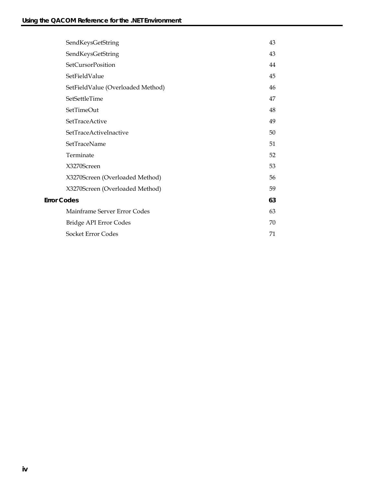|                    | SendKeysGetString                 | 43 |
|--------------------|-----------------------------------|----|
|                    | SendKeysGetString                 | 43 |
|                    | SetCursorPosition                 | 44 |
|                    | SetFieldValue                     | 45 |
|                    | SetFieldValue (Overloaded Method) | 46 |
|                    | SetSettleTime                     | 47 |
|                    | SetTimeOut                        | 48 |
|                    | SetTraceActive                    | 49 |
|                    | SetTraceActiveInactive            | 50 |
|                    | SetTraceName                      | 51 |
|                    | Terminate                         | 52 |
|                    | X3270Screen                       | 53 |
|                    | X3270Screen (Overloaded Method)   | 56 |
|                    | X3270Screen (Overloaded Method)   | 59 |
| <b>Error Codes</b> |                                   | 63 |
|                    | Mainframe Server Error Codes      | 63 |
|                    | Bridge API Error Codes            | 70 |
|                    | Socket Error Codes                | 71 |
|                    |                                   |    |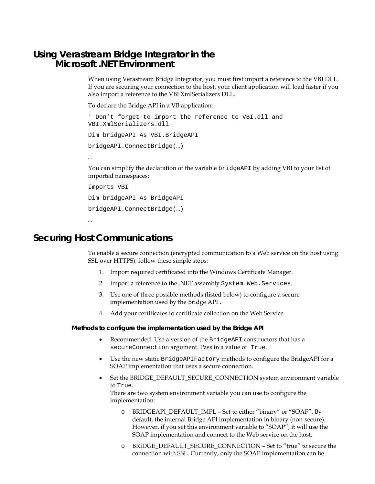## **Using Verastream Bridge Integrator in the Microsoft .NET Environment**

When using Verastream Bridge Integrator, you must first import a reference to the VBI DLL. If you are securing your connection to the host, your client application will load faster if you also import a reference to the VBI XmlSerializers DLL.

To declare the Bridge API in a VB application:

```
' Don't forget to import the reference to VBI.dll and 
VBI.XmlSerializers.dll 
Dim bridgeAPI As VBI.BridgeAPI 
bridgeAPI.ConnectBridge(…) 
…
```
You can simplify the declaration of the variable bridgeAPI by adding VBI to your list of imported namespaces:

```
Imports VBI 
Dim bridgeAPI As BridgeAPI 
bridgeAPI.ConnectBridge(…)
```
…

## **Securing Host Communications**

To enable a secure connection (encrypted communication to a Web service on the host using SSL over HTTPS), follow these simple steps:

- 1. Import required certificated into the Windows Certificate Manager.
- 2. Import a reference to the .NET assembly System. Web. Services.
- 3. Use one of three possible methods (listed below) to configure a secure implementation used by the Bridge API .
- 4. Add your certificates to certificate collection on the Web Service.

#### **Methods to configure the implementation used by the Bridge API**

- Recommended. Use a version of the BridgeAPI constructors that has a secureConnection argument. Pass in a value of True.
- Use the new static BridgeAPIFactory methods to configure the BridgeAPI for a SOAP implementation that uses a secure connection.
- Set the BRIDGE\_DEFAULT\_SECURE\_CONNECTION system environment variable to True.

There are two system environment variable you can use to configure the implementation:

- o BRIDGEAPI\_DEFAULT\_IMPL Set to either "binary" or "SOAP". By default, the internal Bridge API implementation in binary (non-secure). However, if you set this environment variable to "SOAP", it will use the SOAP implementation and connect to the Web service on the host.
- o BRIDGE\_DEFAULT\_SECURE\_CONNECTION Set to "true" to secure the connection with SSL. Currently, only the SOAP implementation can be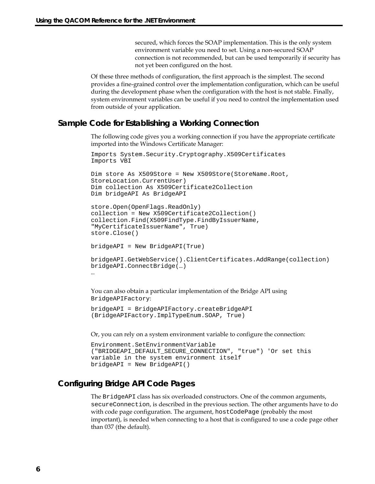secured, which forces the SOAP implementation. This is the only system environment variable you need to set. Using a non-secured SOAP connection is not recommended, but can be used temporarily if security has not yet been configured on the host.

Of these three methods of configuration, the first approach is the simplest. The second provides a fine-grained control over the implementation configuration, which can be useful during the development phase when the configuration with the host is not stable. Finally, system environment variables can be useful if you need to control the implementation used from outside of your application.

### **Sample Code for Establishing a Working Connection**

The following code gives you a working connection if you have the appropriate certificate imported into the Windows Certificate Manager:

```
Imports System.Security.Cryptography.X509Certificates 
Imports VBI
```

```
Dim store As X509Store = New X509Store(StoreName.Root, 
StoreLocation.CurrentUser) 
Dim collection As X509Certificate2Collection 
Dim bridgeAPI As BridgeAPI
```

```
store.Open(OpenFlags.ReadOnly) 
collection = New X509Certificate2Collection() 
collection.Find(X509FindType.FindByIssuerName, 
"MyCertificateIssuerName", True) 
store.Close()
```

```
bridgeAPI = New BridgeAPI(True)
```

```
bridgeAPI.GetWebService().ClientCertificates.AddRange(collection) 
bridgeAPI.ConnectBridge(…) 
…
```
You can also obtain a particular implementation of the Bridge API using BridgeAPIFactory:

```
bridgeAPI = BridgeAPIFactory.createBridgeAPI 
(BridgeAPIFactory.ImplTypeEnum.SOAP, True)
```
Or, you can rely on a system environment variable to configure the connection:

```
Environment.SetEnvironmentVariable 
("BRIDGEAPI_DEFAULT_SECURE_CONNECTION", "true") 'Or set this 
variable in the system environment itself 
bridgeAPI = New BridgeAPI()
```
### **Configuring Bridge API Code Pages**

The BridgeAPI class has six overloaded constructors. One of the common arguments, secureConnection, is described in the previous section. The other arguments have to do with code page configuration. The argument, hostCodePage (probably the most important), is needed when connecting to a host that is configured to use a code page other than 037 (the default).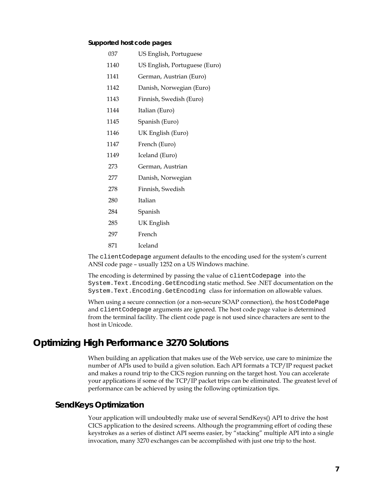#### **Supported host code pages**:

| -037 | US English, Portuguese |
|------|------------------------|
|------|------------------------|

- 1140 US English, Portuguese (Euro)
- 1141 German, Austrian (Euro)
- 1142 Danish, Norwegian (Euro)
- 1143 Finnish, Swedish (Euro)
- 1144 Italian (Euro)
- 1145 Spanish (Euro)
- 1146 UK English (Euro)
- 1147 French (Euro)
- 1149 Iceland (Euro)
- 273 German, Austrian
- 277 Danish, Norwegian
- 278 Finnish, Swedish
- 280 Italian
- 284 Spanish
- 285 UK English
- 297 French
- 871 Iceland

The clientCodepage argument defaults to the encoding used for the system's current ANSI code page – usually 1252 on a US Windows machine.

The encoding is determined by passing the value of clientCodepage into the System.Text.Encoding.GetEncoding static method. See .NET documentation on the System.Text.Encoding.GetEncoding class for information on allowable values.

When using a secure connection (or a non-secure SOAP connection), the hostCodePage and clientCodepage arguments are ignored. The host code page value is determined from the terminal facility. The client code page is not used since characters are sent to the host in Unicode.

## **Optimizing High Performance 3270 Solutions**

When building an application that makes use of the Web service, use care to minimize the number of APIs used to build a given solution. Each API formats a TCP/IP request packet and makes a round trip to the CICS region running on the target host. You can accelerate your applications if some of the TCP/IP packet trips can be eliminated. The greatest level of performance can be achieved by using the following optimization tips.

### **SendKeys Optimization**

Your application will undoubtedly make use of several SendKeys() API to drive the host CICS application to the desired screens. Although the programming effort of coding these keystrokes as a series of distinct API seems easier, by "stacking" multiple API into a single invocation, many 3270 exchanges can be accomplished with just one trip to the host.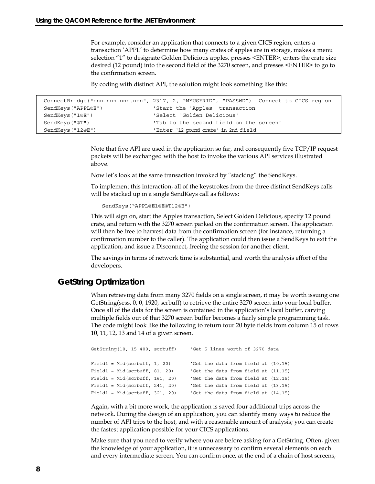For example, consider an application that connects to a given CICS region, enters a transaction 'APPL' to determine how many crates of apples are in storage, makes a menu selection "1" to designate Golden Delicious apples, presses <ENTER>, enters the crate size desired (12 pound) into the second field of the 3270 screen, and presses <ENTER> to go to the confirmation screen.

By coding with distinct API, the solution might look something like this:

```
ConnectBridge("nnn.nnn.nnn.nnn", 2317, 2, "MYUSERID", "PASSWD") 'Connect to CICS region 
SendKeys("APPL@E") 'Start the 'Apples' transaction 
SendKeys("1@E") 'Select 'Golden Delicious' 
SendKeys("@T") \qquad 'Tab to the second field on the screen'
SendKeys("12@E") 'Enter '12 pound crate' in 2nd field
```
Note that five API are used in the application so far, and consequently five TCP/IP request packets will be exchanged with the host to invoke the various API services illustrated above.

Now let's look at the same transaction invoked by "stacking" the SendKeys.

To implement this interaction, all of the keystrokes from the three distinct SendKeys calls will be stacked up in a single SendKeys call as follows:

SendKeys("APPL@E1@E@T12@E")

This will sign on, start the Apples transaction, Select Golden Delicious, specify 12 pound crate, and return with the 3270 screen parked on the confirmation screen. The application will then be free to harvest data from the confirmation screen (for instance, returning a confirmation number to the caller). The application could then issue a SendKeys to exit the application, and issue a Disconnect, freeing the session for another client.

The savings in terms of network time is substantial, and worth the analysis effort of the developers.

### **GetString Optimization**

When retrieving data from many 3270 fields on a single screen, it may be worth issuing one GetString(sess, 0, 0, 1920, scrbuff) to retrieve the entire 3270 screen into your local buffer. Once all of the data for the screen is contained in the application's local buffer, carving multiple fields out of that 3270 screen buffer becomes a fairly simple programming task. The code might look like the following to return four 20 byte fields from column 15 of rows 10, 11, 12, 13 and 14 of a given screen.

```
GetString(10, 15 400, scrbuff) 'Get 5 lines worth of 3270 data 
Field1 = Mid(scrbuff, 1, 20) 'Get the data from field at (10,15) 
Field1 = Mid(scrbuff, 81, 20) \qquad \qquad 'Get the data from field at (11,15)
Field1 = Mid(scrbuff, 161, 20) 'Get the data from field at (12,15) 
Field1 = Mid(scrbuff, 241, 20) Get the data from field at (13,15)Field1 = Mid(scrbuff, 321, 20) 'Get the data from field at (14,15)
```
Again, with a bit more work, the application is saved four additional trips across the network. During the design of an application, you can identify many ways to reduce the number of API trips to the host, and with a reasonable amount of analysis; you can create the fastest application possible for your CICS applications.

Make sure that you need to verify where you are before asking for a GetString. Often, given the knowledge of your application, it is unnecessary to confirm several elements on each and every intermediate screen. You can confirm once, at the end of a chain of host screens,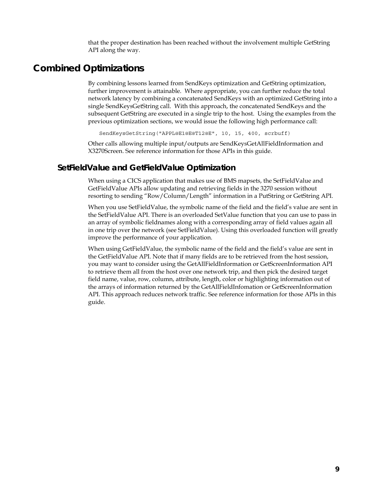that the proper destination has been reached without the involvement multiple GetString API along the way.

## **Combined Optimizations**

By combining lessons learned from SendKeys optimization and GetString optimization, further improvement is attainable. Where appropriate, you can further reduce the total network latency by combining a concatenated SendKeys with an optimized GetString into a single SendKeysGetString call. With this approach, the concatenated SendKeys and the subsequent GetString are executed in a single trip to the host. Using the examples from the previous optimization sections, we would issue the following high performance call:

SendKeysGetString("APPL@E1@E@T12@E", 10, 15, 400, scrbuff)

Other calls allowing multiple input/outputs are SendKeysGetAllFieldInformation and X3270Screen. See reference information for those APIs in this guide.

### **SetFieldValue and GetFieldValue Optimization**

When using a CICS application that makes use of BMS mapsets, the SetFieldValue and GetFieldValue APIs allow updating and retrieving fields in the 3270 session without resorting to sending "Row/Column/Length" information in a PutString or GetString API.

When you use SetFieldValue, the symbolic name of the field and the field's value are sent in the SetFieldValue API. There is an overloaded SetValue function that you can use to pass in an array of symbolic fieldnames along with a corresponding array of field values again all in one trip over the network (see SetFieldValue). Using this overloaded function will greatly improve the performance of your application.

When using GetFieldValue, the symbolic name of the field and the field's value are sent in the GetFieldValue API. Note that if many fields are to be retrieved from the host session, you may want to consider using the GetAllFieldInformation or GetScreenInformation API to retrieve them all from the host over one network trip, and then pick the desired target field name, value, row, column, attribute, length, color or highlighting information out of the arrays of information returned by the GetAllFieldInfomation or GetScreenInformation API. This approach reduces network traffic. See reference information for those APIs in this guide.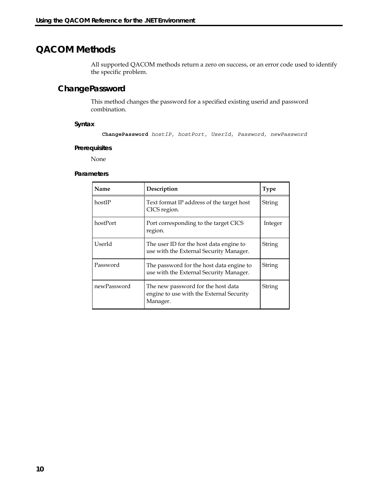## **QACOM Methods**

All supported QACOM methods return a zero on success, or an error code used to identify the specific problem.

## **ChangePassword**

This method changes the password for a specified existing userid and password combination.

**Syntax** 

```
ChangePassword hostIP, hostPort, UserId, Password, newPassword
```
#### **Prerequisites**

None

| Name        | Description                                                                                | <b>Type</b> |
|-------------|--------------------------------------------------------------------------------------------|-------------|
| hostIP      | Text format IP address of the target host<br>CICS region.                                  | String      |
| hostPort    | Port corresponding to the target CICS<br>region.                                           | Integer     |
| UserId      | The user ID for the host data engine to<br>use with the External Security Manager.         | String      |
| Password    | The password for the host data engine to<br>use with the External Security Manager.        | String      |
| newPassword | The new password for the host data<br>engine to use with the External Security<br>Manager. | String      |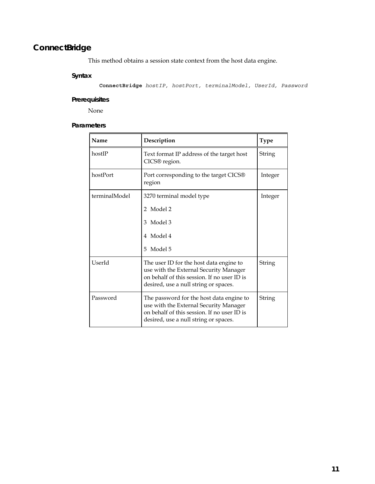## **ConnectBridge**

This method obtains a session state context from the host data engine.

### **Syntax**

**ConnectBridge** *hostIP, hostPort, terminalModel, UserId, Password*

### **Prerequisites**

None

| Name          | Description                                                                                                                                                                | <b>Type</b> |
|---------------|----------------------------------------------------------------------------------------------------------------------------------------------------------------------------|-------------|
| hostIP        | Text format IP address of the target host<br>CICS® region.                                                                                                                 | String      |
| hostPort      | Port corresponding to the target CICS®<br>region                                                                                                                           | Integer     |
| terminalModel | 3270 terminal model type<br>2 Model 2<br>Model 3<br>3                                                                                                                      | Integer     |
|               | Model 4<br>4<br>Model 5<br>5.                                                                                                                                              |             |
| UserId        | The user ID for the host data engine to<br>use with the External Security Manager<br>on behalf of this session. If no user ID is<br>desired, use a null string or spaces.  | String      |
| Password      | The password for the host data engine to<br>use with the External Security Manager<br>on behalf of this session. If no user ID is<br>desired, use a null string or spaces. | String      |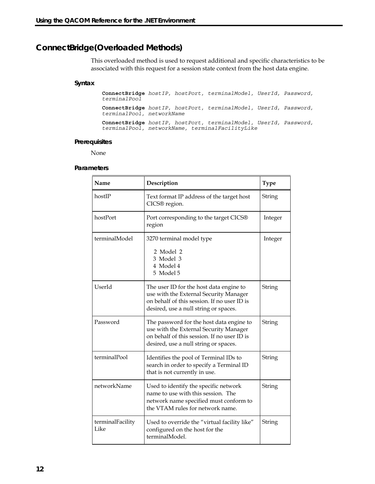## **ConnectBridge(Overloaded Methods)**

This overloaded method is used to request additional and specific characteristics to be associated with this request for a session state context from the host data engine.

#### **Syntax**

**ConnectBridge** *hostIP, hostPort, terminalModel, UserId, Password, terminalPool*  **ConnectBridge** *hostIP, hostPort, terminalModel, UserId, Password, terminalPool, networkName* 

**ConnectBridge** *hostIP, hostPort, terminalModel, UserId, Password, terminalPool, networkName, terminalFacilityLike* 

#### **Prerequisites**

None

| Name                     | Description                                                                                                                                                                | Type    |
|--------------------------|----------------------------------------------------------------------------------------------------------------------------------------------------------------------------|---------|
| hostIP                   | Text format IP address of the target host<br>CICS® region.                                                                                                                 | String  |
| hostPort                 | Port corresponding to the target CICS®<br>region                                                                                                                           | Integer |
| terminalModel            | 3270 terminal model type<br>2 Model 2<br>3 Model 3<br>4 Model 4<br>5 Model 5                                                                                               | Integer |
| UserId                   | The user ID for the host data engine to<br>use with the External Security Manager<br>on behalf of this session. If no user ID is<br>desired, use a null string or spaces.  | String  |
| Password                 | The password for the host data engine to<br>use with the External Security Manager<br>on behalf of this session. If no user ID is<br>desired, use a null string or spaces. | String  |
| terminalPool             | Identifies the pool of Terminal IDs to<br>search in order to specify a Terminal ID<br>that is not currently in use.                                                        | String  |
| networkName              | Used to identify the specific network<br>name to use with this session. The<br>network name specified must conform to<br>the VTAM rules for network name.                  | String  |
| terminalFacility<br>Like | Used to override the "virtual facility like"<br>configured on the host for the<br>terminalModel.                                                                           | String  |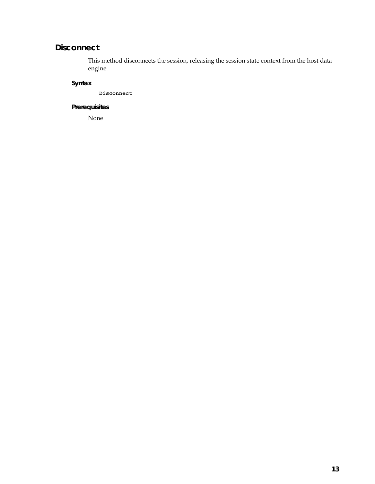## **Disconnect**

This method disconnects the session, releasing the session state context from the host data engine.

## **Syntax**

**Disconnect**

### **Prerequisites**

None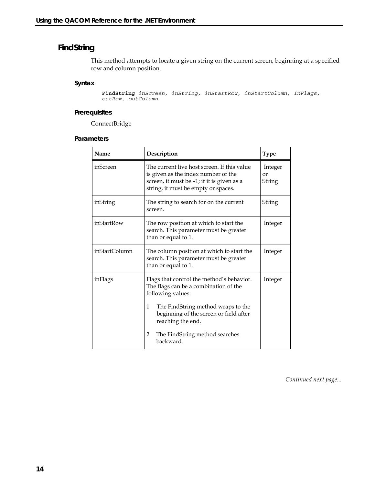## **FindString**

This method attempts to locate a given string on the current screen, beginning at a specified row and column position.

#### **Syntax**

**FindString** *inScreen, inString, inStartRow, inStartColumn, inFlags, outRow, outColumn* 

#### **Prerequisites**

ConnectBridge

#### **Parameters**

| Name          | Description                                                                                                                                                                                                                                                           | <b>Type</b>             |
|---------------|-----------------------------------------------------------------------------------------------------------------------------------------------------------------------------------------------------------------------------------------------------------------------|-------------------------|
| inScreen      | The current live host screen. If this value<br>is given as the index number of the<br>screen, it must be -1; if it is given as a<br>string, it must be empty or spaces.                                                                                               | Integer<br>or<br>String |
| inString      | The string to search for on the current<br>screen.                                                                                                                                                                                                                    | String                  |
| inStartRow    | The row position at which to start the<br>search. This parameter must be greater<br>than or equal to 1.                                                                                                                                                               | Integer                 |
| inStartColumn | The column position at which to start the<br>search. This parameter must be greater<br>than or equal to 1.                                                                                                                                                            | Integer                 |
| inFlags       | Flags that control the method's behavior.<br>The flags can be a combination of the<br>following values:<br>The FindString method wraps to the<br>1<br>beginning of the screen or field after<br>reaching the end.<br>2<br>The FindString method searches<br>backward. | Integer                 |

*Continued next page...*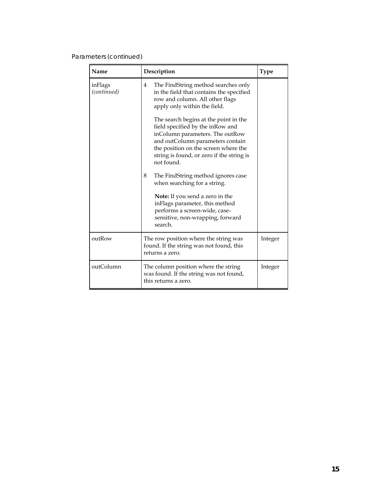### Parameters (*continued*)

| Name                   | Description                                                                                                                                                                                                                                                                                                                                                                                                                                                                                                                                                                                                                                      | <b>Type</b> |
|------------------------|--------------------------------------------------------------------------------------------------------------------------------------------------------------------------------------------------------------------------------------------------------------------------------------------------------------------------------------------------------------------------------------------------------------------------------------------------------------------------------------------------------------------------------------------------------------------------------------------------------------------------------------------------|-------------|
| inFlags<br>(continued) | The FindString method searches only<br>$\overline{4}$<br>in the field that contains the specified<br>row and column. All other flags<br>apply only within the field.<br>The search begins at the point in the<br>field specified by the inRow and<br>inColumn parameters. The outRow<br>and outColumn parameters contain<br>the position on the screen where the<br>string is found, or zero if the string is<br>not found.<br>8<br>The FindString method ignores case<br>when searching for a string.<br>Note: If you send a zero in the<br>inFlags parameter, this method<br>performs a screen-wide, case-<br>sensitive, non-wrapping, forward |             |
|                        | search.                                                                                                                                                                                                                                                                                                                                                                                                                                                                                                                                                                                                                                          |             |
| outRow                 | The row position where the string was<br>found. If the string was not found, this<br>returns a zero.                                                                                                                                                                                                                                                                                                                                                                                                                                                                                                                                             | Integer     |
| outColumn              | The column position where the string<br>was found. If the string was not found,<br>this returns a zero.                                                                                                                                                                                                                                                                                                                                                                                                                                                                                                                                          | Integer     |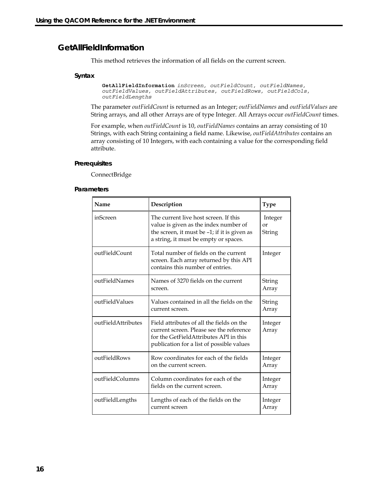### **GetAllFieldInformation**

This method retrieves the information of all fields on the current screen.

#### **Syntax**

```
GetAllFieldInformation inScreen, outFieldCount, outFieldNames,
outFieldValues, outFieldAttributes, outFieldRows, outFieldCols, 
outFieldLengths
```
The parameter *outFieldCount* is returned as an Integer; *outFieldNames* and *outFieldValues* are String arrays, and all other Arrays are of type Integer. All Arrays occur *outFieldCount* times.

For example, when *outFieldCount* is 10, *outFieldNames* contains an array consisting of 10 Strings, with each String containing a field name. Likewise, *outFieldAttributes* contains an array consisting of 10 Integers, with each containing a value for the corresponding field attribute.

#### **Prerequisites**

ConnectBridge

| Name               | Description                                                                                                                                                                  | <b>Type</b>             |
|--------------------|------------------------------------------------------------------------------------------------------------------------------------------------------------------------------|-------------------------|
| inScreen           | The current live host screen. If this<br>value is given as the index number of<br>the screen, it must be -1; if it is given as<br>a string, it must be empty or spaces.      | Integer<br>or<br>String |
| outFieldCount      | Total number of fields on the current<br>screen. Each array returned by this API<br>contains this number of entries.                                                         | Integer                 |
| outFieldNames      | Names of 3270 fields on the current<br>screen.                                                                                                                               | String<br>Array         |
| outFieldValues     | Values contained in all the fields on the<br>current screen.                                                                                                                 | String<br>Array         |
| outFieldAttributes | Field attributes of all the fields on the<br>current screen. Please see the reference<br>for the GetFieldAttributes API in this<br>publication for a list of possible values | Integer<br>Array        |
| outFieldRows       | Row coordinates for each of the fields<br>on the current screen.                                                                                                             | Integer<br>Array        |
| outFieldColumns    | Column coordinates for each of the<br>fields on the current screen.                                                                                                          | Integer<br>Array        |
| outFieldLengths    | Lengths of each of the fields on the<br>current screen                                                                                                                       | Integer<br>Array        |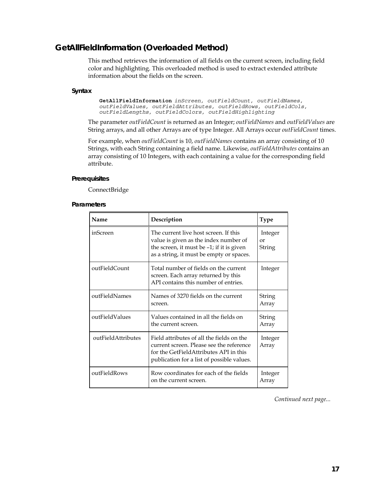## **GetAllFieldInformation (Overloaded Method)**

This method retrieves the information of all fields on the current screen, including field color and highlighting. This overloaded method is used to extract extended attribute information about the fields on the screen.

#### **Syntax**

**GetAllFieldInformation** *inScreen, outFieldCount, outFieldNames, outFieldValues, outFieldAttributes, outFieldRows, outFieldCols, outFieldLengths, outFieldColors, outFieldHighlighting* 

The parameter *outFieldCount* is returned as an Integer; *outFieldNames* and *outFieldValues* are String arrays, and all other Arrays are of type Integer. All Arrays occur *outFieldCount* times.

For example, when *outFieldCount* is 10, *outFieldNames* contains an array consisting of 10 Strings, with each String containing a field name. Likewise, *outFieldAttributes* contains an array consisting of 10 Integers, with each containing a value for the corresponding field attribute.

#### **Prerequisites**

ConnectBridge

#### **Parameters**

| Name               | Description                                                                                                                                                                   | <b>Type</b>             |
|--------------------|-------------------------------------------------------------------------------------------------------------------------------------------------------------------------------|-------------------------|
| inScreen           | The current live host screen. If this<br>value is given as the index number of<br>the screen, it must be -1; if it is given<br>as a string, it must be empty or spaces.       | Integer<br>or<br>String |
| outFieldCount      | Total number of fields on the current<br>screen. Each array returned by this<br>API contains this number of entries.                                                          | Integer                 |
| outFieldNames      | Names of 3270 fields on the current<br>screen.                                                                                                                                | String<br>Array         |
| outFieldValues     | Values contained in all the fields on<br>the current screen.                                                                                                                  | String<br>Array         |
| outFieldAttributes | Field attributes of all the fields on the<br>current screen. Please see the reference<br>for the GetFieldAttributes API in this<br>publication for a list of possible values. | Integer<br>Array        |
| outFieldRows       | Row coordinates for each of the fields<br>on the current screen.                                                                                                              | Integer<br>Array        |

*Continued next page...*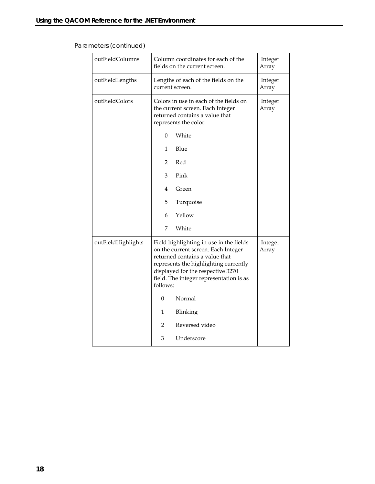## Parameters (*continued*)

| outFieldColumns    | Column coordinates for each of the<br>fields on the current screen.                                                                                                                                                                                   | Integer<br>Array |
|--------------------|-------------------------------------------------------------------------------------------------------------------------------------------------------------------------------------------------------------------------------------------------------|------------------|
| outFieldLengths    | Lengths of each of the fields on the<br>current screen.                                                                                                                                                                                               | Integer<br>Array |
| outFieldColors     | Colors in use in each of the fields on<br>the current screen. Each Integer<br>returned contains a value that<br>represents the color:                                                                                                                 | Integer<br>Array |
|                    | White<br>$\Omega$                                                                                                                                                                                                                                     |                  |
|                    | Blue<br>$\mathbf{1}$                                                                                                                                                                                                                                  |                  |
|                    | Red<br>$\overline{2}$                                                                                                                                                                                                                                 |                  |
|                    | Pink<br>3                                                                                                                                                                                                                                             |                  |
|                    | 4<br>Green                                                                                                                                                                                                                                            |                  |
|                    | 5<br>Turquoise                                                                                                                                                                                                                                        |                  |
|                    | Yellow<br>6                                                                                                                                                                                                                                           |                  |
|                    | White<br>7                                                                                                                                                                                                                                            |                  |
| outFieldHighlights | Field highlighting in use in the fields<br>on the current screen. Each Integer<br>returned contains a value that<br>represents the highlighting currently<br>displayed for the respective 3270<br>field. The integer representation is as<br>follows: | Integer<br>Array |
|                    | Normal<br>0                                                                                                                                                                                                                                           |                  |
|                    | 1<br>Blinking                                                                                                                                                                                                                                         |                  |
|                    | Reversed video<br>2                                                                                                                                                                                                                                   |                  |
|                    | 3<br>Underscore                                                                                                                                                                                                                                       |                  |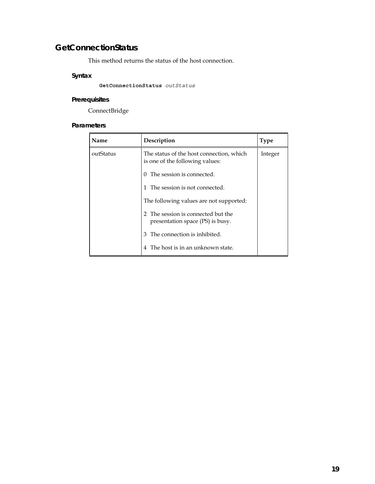## **GetConnectionStatus**

This method returns the status of the host connection.

### **Syntax**

**GetConnectionStatus** *outStatus*

### **Prerequisites**

ConnectBridge

| Name      | Description                                                                           | <b>Type</b> |
|-----------|---------------------------------------------------------------------------------------|-------------|
| outStatus | The status of the host connection, which<br>is one of the following values:           | Integer     |
|           | The session is connected.<br>0                                                        |             |
|           | The session is not connected.                                                         |             |
|           | The following values are not supported:                                               |             |
|           | The session is connected but the<br>$\mathcal{D}$<br>presentation space (PS) is busy. |             |
|           | The connection is inhibited.<br>3                                                     |             |
|           | The host is in an unknown state.                                                      |             |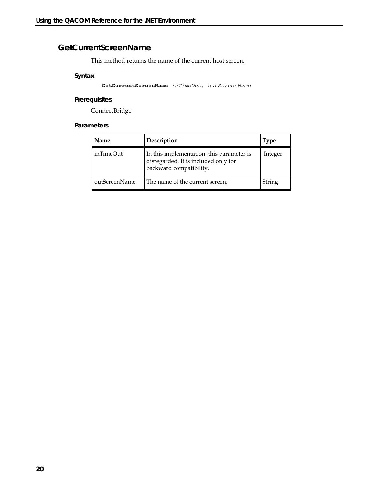## **GetCurrentScreenName**

This method returns the name of the current host screen.

#### **Syntax**

**GetCurrentScreenName** *inTimeOut, outScreenName*

### **Prerequisites**

ConnectBridge

| Name          | Description                                                                                                  | Type    |
|---------------|--------------------------------------------------------------------------------------------------------------|---------|
| inTimeOut     | In this implementation, this parameter is<br>disregarded. It is included only for<br>backward compatibility. | Integer |
| outScreenName | The name of the current screen.                                                                              | String  |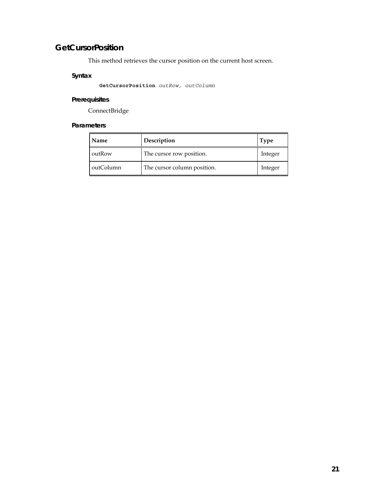## **GetCursorPosition**

This method retrieves the cursor position on the current host screen.

### **Syntax**

**GetCursorPosition** *outRow, outColumn*

### **Prerequisites**

ConnectBridge

| Name      | Description                 | 'l ype  |
|-----------|-----------------------------|---------|
| outRow    | The cursor row position.    | Integer |
| outColumn | The cursor column position. | Integer |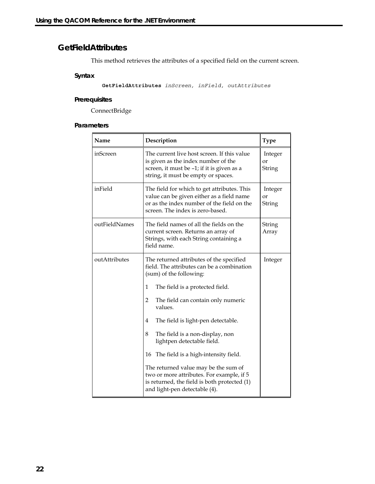## **GetFieldAttributes**

This method retrieves the attributes of a specified field on the current screen.

#### **Syntax**

**GetFieldAttributes** *inScreen, inField, outAttributes*

#### **Prerequisites**

ConnectBridge

| Name          | Description                                                                                                                                                                | <b>Type</b>             |
|---------------|----------------------------------------------------------------------------------------------------------------------------------------------------------------------------|-------------------------|
| inScreen      | The current live host screen. If this value<br>is given as the index number of the<br>screen, it must be -1; if it is given as a<br>string, it must be empty or spaces.    | Integer<br>or<br>String |
| inField       | The field for which to get attributes. This<br>value can be given either as a field name<br>or as the index number of the field on the<br>screen. The index is zero-based. | Integer<br>or<br>String |
| outFieldNames | The field names of all the fields on the<br>current screen. Returns an array of<br>Strings, with each String containing a<br>field name.                                   | String<br>Array         |
| outAttributes | The returned attributes of the specified<br>field. The attributes can be a combination<br>(sum) of the following:                                                          | Integer                 |
|               | 1<br>The field is a protected field.                                                                                                                                       |                         |
|               | 2<br>The field can contain only numeric<br>values.                                                                                                                         |                         |
|               | The field is light-pen detectable.<br>4                                                                                                                                    |                         |
|               | The field is a non-display, non<br>8<br>lightpen detectable field.                                                                                                         |                         |
|               | The field is a high-intensity field.<br>16                                                                                                                                 |                         |
|               | The returned value may be the sum of<br>two or more attributes. For example, if 5<br>is returned, the field is both protected (1)<br>and light-pen detectable (4).         |                         |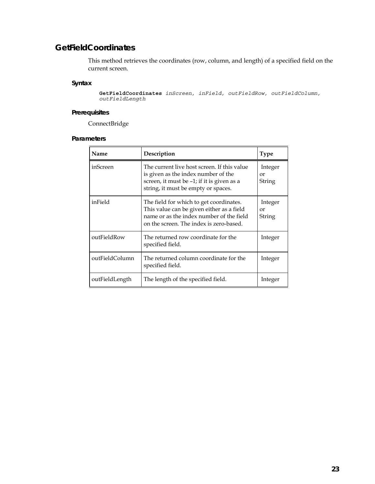## **GetFieldCoordinates**

This method retrieves the coordinates (row, column, and length) of a specified field on the current screen.

#### **Syntax**

**GetFieldCoordinates** *inScreen, inField, outFieldRow, outFieldColumn, outFieldLength*

### **Prerequisites**

ConnectBridge

| Name           | Description                                                                                                                                                                 | <b>Type</b>             |
|----------------|-----------------------------------------------------------------------------------------------------------------------------------------------------------------------------|-------------------------|
| inScreen       | The current live host screen. If this value<br>is given as the index number of the<br>screen, it must be -1; if it is given as a<br>string, it must be empty or spaces.     | Integer<br>or<br>String |
| inField        | The field for which to get coordinates.<br>This value can be given either as a field<br>name or as the index number of the field<br>on the screen. The index is zero-based. | Integer<br>or<br>String |
| outFieldRow    | The returned row coordinate for the<br>specified field.                                                                                                                     | Integer                 |
| outFieldColumn | The returned column coordinate for the<br>specified field.                                                                                                                  | Integer                 |
| outFieldLength | The length of the specified field.                                                                                                                                          | Integer                 |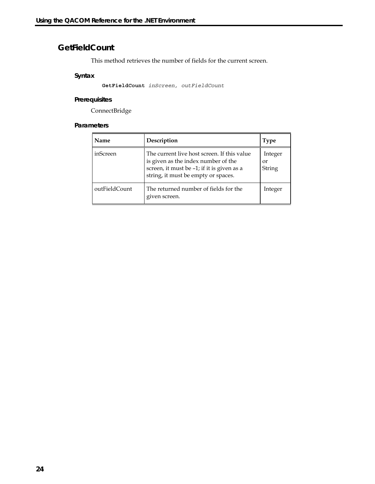## **GetFieldCount**

This method retrieves the number of fields for the current screen.

### **Syntax**

**GetFieldCount** *inScreen, outFieldCount*

### **Prerequisites**

ConnectBridge

| Name          | Description                                                                                                                                                             | <b>Type</b>             |
|---------------|-------------------------------------------------------------------------------------------------------------------------------------------------------------------------|-------------------------|
| inScreen      | The current live host screen. If this value<br>is given as the index number of the<br>screen, it must be -1; if it is given as a<br>string, it must be empty or spaces. | Integer<br>or<br>String |
| outFieldCount | The returned number of fields for the<br>given screen.                                                                                                                  | Integer                 |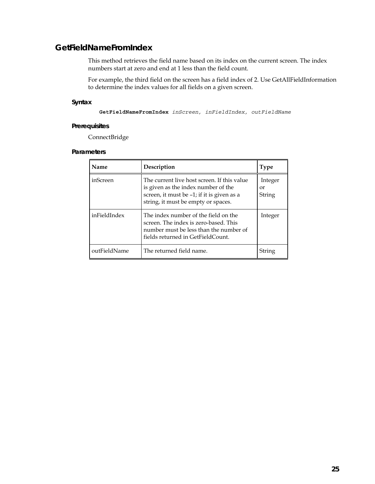## **GetFieldNameFromIndex**

This method retrieves the field name based on its index on the current screen. The index numbers start at zero and end at 1 less than the field count.

For example, the third field on the screen has a field index of 2. Use GetAllFieldInformation to determine the index values for all fields on a given screen.

### **Syntax**

**GetFieldNameFromIndex** *inScreen, inFieldIndex, outFieldName*

#### **Prerequisites**

ConnectBridge

| Name         | Description                                                                                                                                                             | <b>Type</b>             |
|--------------|-------------------------------------------------------------------------------------------------------------------------------------------------------------------------|-------------------------|
| inScreen     | The current live host screen. If this value<br>is given as the index number of the<br>screen, it must be -1; if it is given as a<br>string, it must be empty or spaces. | Integer<br>or<br>String |
| inFieldIndex | The index number of the field on the<br>screen. The index is zero-based. This<br>number must be less than the number of<br>fields returned in GetFieldCount.            | Integer                 |
| outFieldName | The returned field name.                                                                                                                                                | String                  |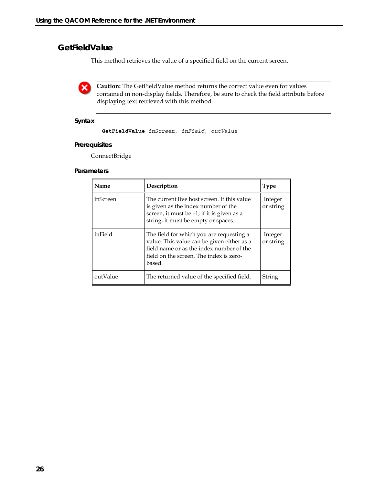## **GetFieldValue**

This method retrieves the value of a specified field on the current screen.

X)

**Caution:** The GetFieldValue method returns the correct value even for values contained in non-display fields. Therefore, be sure to check the field attribute before displaying text retrieved with this method.

### **Syntax**

```
GetFieldValue inScreen, inField, outValue
```
#### **Prerequisites**

ConnectBridge

| Name     | Description                                                                                                                                                                             | <b>Type</b>          |
|----------|-----------------------------------------------------------------------------------------------------------------------------------------------------------------------------------------|----------------------|
| inScreen | The current live host screen. If this value<br>is given as the index number of the<br>screen, it must be -1; if it is given as a<br>string, it must be empty or spaces.                 | Integer<br>or string |
| inField  | The field for which you are requesting a<br>value. This value can be given either as a<br>field name or as the index number of the<br>field on the screen. The index is zero-<br>based. | Integer<br>or string |
| outValue | The returned value of the specified field.                                                                                                                                              | String               |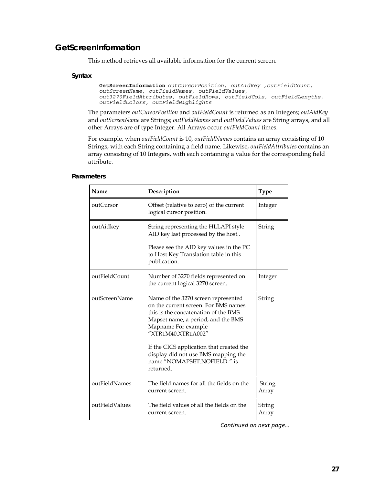### **GetScreenInformation**

This method retrieves all available information for the current screen.

#### **Syntax**

```
GetScreenInformation outCursorPosition, outAidKey ,outFieldCount, 
outScreenName, outFieldNames, outFieldValues, 
out3270FieldAttributes, outFieldRows, outFieldCols, outFieldLengths,
outFieldColors, outFieldHighlights
```
The parameters *outCursorPosition* and *outFieldCount* is returned as an Integers; *outAidKey* and *outScreenName* are Strings; *outFieldNames* and *outFieldValues* are String arrays, and all other Arrays are of type Integer. All Arrays occur *outFieldCount* times.

For example, when *outFieldCount* is 10, *outFieldNames* contains an array consisting of 10 Strings, with each String containing a field name. Likewise, *outFieldAttributes* contains an array consisting of 10 Integers, with each containing a value for the corresponding field attribute.

| Name           | Description                                                                                                                                                                                                                                                                                                                           | <b>Type</b>     |
|----------------|---------------------------------------------------------------------------------------------------------------------------------------------------------------------------------------------------------------------------------------------------------------------------------------------------------------------------------------|-----------------|
| outCursor      | Offset (relative to zero) of the current<br>logical cursor position.                                                                                                                                                                                                                                                                  | Integer         |
| outAidkey      | String representing the HLLAPI style<br>AID key last processed by the host<br>Please see the AID key values in the PC<br>to Host Key Translation table in this<br>publication.                                                                                                                                                        | String          |
| outFieldCount  | Number of 3270 fields represented on<br>the current logical 3270 screen.                                                                                                                                                                                                                                                              | Integer         |
| outScreenName  | Name of the 3270 screen represented<br>on the current screen. For BMS names<br>this is the concatenation of the BMS<br>Mapset name, a period, and the BMS<br>Mapname For example<br>"XTR1M40.XTR1A002"<br>If the CICS application that created the<br>display did not use BMS mapping the<br>name "NOMAPSET.NOFIELD-" is<br>returned. | String          |
| outFieldNames  | The field names for all the fields on the<br>current screen.                                                                                                                                                                                                                                                                          | String<br>Array |
| outFieldValues | The field values of all the fields on the<br>current screen.                                                                                                                                                                                                                                                                          | String<br>Array |

#### **Parameters**

*Continued on next page…*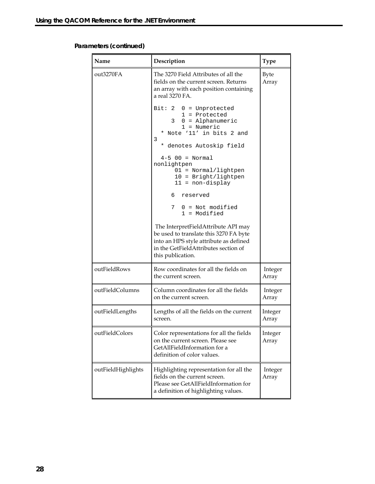### **Parameters (continued)**

| Name               | Description                                                                                                                                                                          | <b>Type</b>          |
|--------------------|--------------------------------------------------------------------------------------------------------------------------------------------------------------------------------------|----------------------|
| out3270FA          | The 3270 Field Attributes of all the<br>fields on the current screen. Returns<br>an array with each position containing<br>a real 3270 FA.                                           | <b>Byte</b><br>Array |
|                    | Bit: $2 \quad 0 =$ Unprotected<br>$1 =$ Protected<br>$3 \quad 0 = \text{Alphantumeric}$<br>$1 =$ Numeric<br>* Note '11' in bits 2 and<br>3<br>* denotes Autoskip field               |                      |
|                    | $4-5$ 00 = Normal<br>nonlightpen<br>$01 = Normal/lightpen$<br>$10 =$ Bright/lightpen<br>$11 = non-display$                                                                           |                      |
|                    | 6 reserved                                                                                                                                                                           |                      |
|                    | 7 0 = Not modified<br>$1 =$ Modified                                                                                                                                                 |                      |
|                    | The InterpretFieldAttribute API may<br>be used to translate this 3270 FA byte<br>into an HPS style attribute as defined<br>in the GetFieldAttributes section of<br>this publication. |                      |
| outFieldRows       | Row coordinates for all the fields on<br>the current screen.                                                                                                                         | Integer<br>Array     |
| outFieldColumns    | Column coordinates for all the fields<br>on the current screen.                                                                                                                      | Integer<br>Array     |
| outFieldLengths    | Lengths of all the fields on the current<br>screen.                                                                                                                                  | Integer<br>Array     |
| outFieldColors     | Color representations for all the fields<br>on the current screen. Please see<br>GetAllFieldInformation for a<br>definition of color values.                                         | Integer<br>Array     |
| outFieldHighlights | Highlighting representation for all the<br>fields on the current screen.<br>Please see GetAllFieldInformation for<br>a definition of highlighting values.                            | Integer<br>Array     |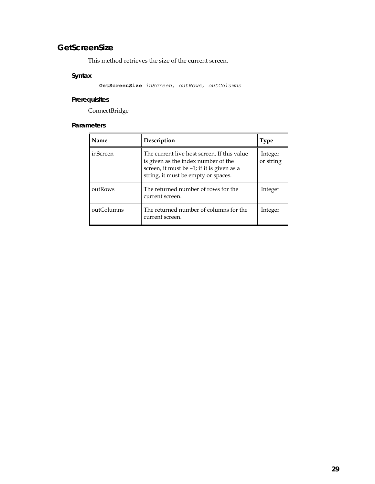## **GetScreenSize**

This method retrieves the size of the current screen.

### **Syntax**

**GetScreenSize** *inScreen, outRows, outColumns*

### **Prerequisites**

ConnectBridge

| Name       | Description                                                                                                                                                             | <b>Type</b>          |
|------------|-------------------------------------------------------------------------------------------------------------------------------------------------------------------------|----------------------|
| inScreen   | The current live host screen. If this value<br>is given as the index number of the<br>screen, it must be -1; if it is given as a<br>string, it must be empty or spaces. | Integer<br>or string |
| outRows    | The returned number of rows for the<br>current screen.                                                                                                                  | Integer              |
| outColumns | The returned number of columns for the<br>current screen.                                                                                                               | Integer              |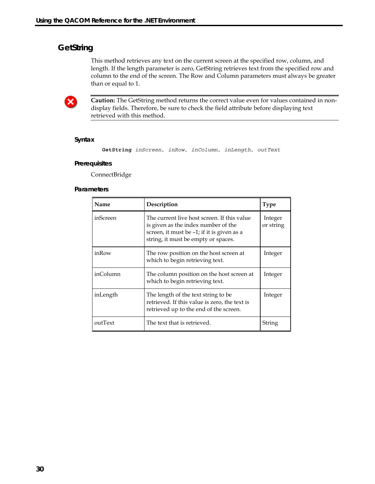## **GetString**

This method retrieves any text on the current screen at the specified row, column, and length. If the length parameter is zero, GetString retrieves text from the specified row and column to the end of the screen. The Row and Column parameters must always be greater than or equal to 1.



**Caution:** The GetString method returns the correct value even for values contained in nondisplay fields. Therefore, be sure to check the field attribute before displaying text retrieved with this method.

#### **Syntax**

**GetString** *inScreen, inRow, inColumn, inLength, outText*

#### **Prerequisites**

ConnectBridge

| Name     | Description                                                                                                                                                             | <b>Type</b>          |
|----------|-------------------------------------------------------------------------------------------------------------------------------------------------------------------------|----------------------|
| inScreen | The current live host screen. If this value<br>is given as the index number of the<br>screen, it must be -1; if it is given as a<br>string, it must be empty or spaces. | Integer<br>or string |
| inRow    | The row position on the host screen at<br>which to begin retrieving text.                                                                                               | Integer              |
| inColumn | The column position on the host screen at<br>which to begin retrieving text.                                                                                            | Integer              |
| inLength | The length of the text string to be<br>retrieved. If this value is zero, the text is<br>retrieved up to the end of the screen.                                          | Integer              |
| outText  | The text that is retrieved.                                                                                                                                             | String               |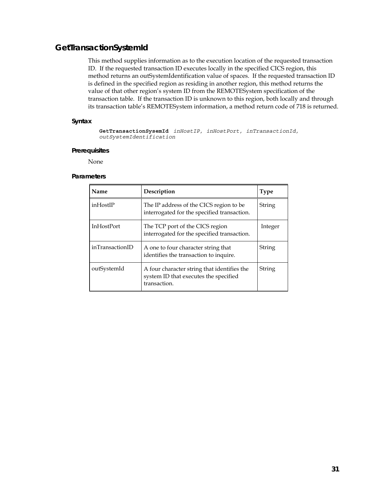## **GetTransactionSystemId**

This method supplies information as to the execution location of the requested transaction ID. If the requested transaction ID executes locally in the specified CICS region, this method returns an outSystemIdentification value of spaces. If the requested transaction ID is defined in the specified region as residing in another region, this method returns the value of that other region's system ID from the REMOTESystem specification of the transaction table. If the transaction ID is unknown to this region, both locally and through its transaction table's REMOTESystem information, a method return code of 718 is returned.

### **Syntax**

**GetTransactionSysemId** *inHostIP, inHostPort, inTransactionId, outSystemIdentification* 

#### **Prerequisites**

None

| Name              | Description                                                                                          | <b>Type</b> |
|-------------------|------------------------------------------------------------------------------------------------------|-------------|
| inHostIP          | The IP address of the CICS region to be<br>interrogated for the specified transaction.               | String      |
| <b>InHostPort</b> | The TCP port of the CICS region<br>interrogated for the specified transaction.                       | Integer     |
| inTransactionID   | A one to four character string that<br>identifies the transaction to inquire.                        | String      |
| outSystemId       | A four character string that identifies the<br>system ID that executes the specified<br>transaction. | String      |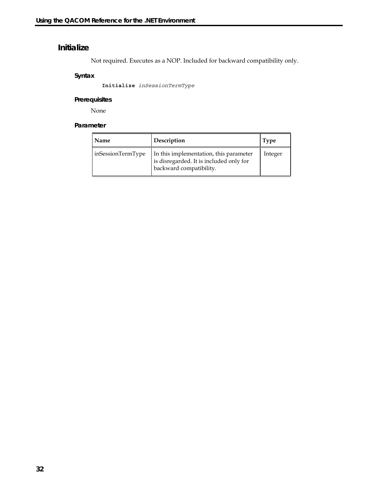## **Initialize**

Not required. Executes as a NOP. Included for backward compatibility only.

### **Syntax**

**Initialize** *inSessionTermType*

### **Prerequisites**

None

| Name              | Description                                                                                                  | Type    |
|-------------------|--------------------------------------------------------------------------------------------------------------|---------|
| inSessionTermType | In this implementation, this parameter<br>is disregarded. It is included only for<br>backward compatibility. | Integer |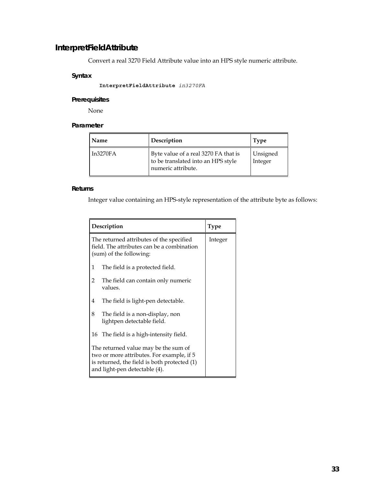## **InterpretFieldAttribute**

Convert a real 3270 Field Attribute value into an HPS style numeric attribute.

### **Syntax**

**InterpretFieldAttribute** *in3270FA*

#### **Prerequisites**

None

### **Parameter**

| Name     | Description                                                                                      | <b>Type</b>         |
|----------|--------------------------------------------------------------------------------------------------|---------------------|
| In3270FA | Byte value of a real 3270 FA that is<br>to be translated into an HPS style<br>numeric attribute. | Unsigned<br>Integer |

### **Returns**

Integer value containing an HPS-style representation of the attribute byte as follows:

|                                                                                                                                                                    | Description                                                                                                       | <b>Type</b> |
|--------------------------------------------------------------------------------------------------------------------------------------------------------------------|-------------------------------------------------------------------------------------------------------------------|-------------|
|                                                                                                                                                                    | The returned attributes of the specified<br>field. The attributes can be a combination<br>(sum) of the following: | Integer     |
| 1                                                                                                                                                                  | The field is a protected field.                                                                                   |             |
| 2                                                                                                                                                                  | The field can contain only numeric<br>values.                                                                     |             |
| 4                                                                                                                                                                  | The field is light-pen detectable.                                                                                |             |
| 8                                                                                                                                                                  | The field is a non-display, non<br>lightpen detectable field.                                                     |             |
|                                                                                                                                                                    | 16 The field is a high-intensity field.                                                                           |             |
| The returned value may be the sum of<br>two or more attributes. For example, if 5<br>is returned, the field is both protected (1)<br>and light-pen detectable (4). |                                                                                                                   |             |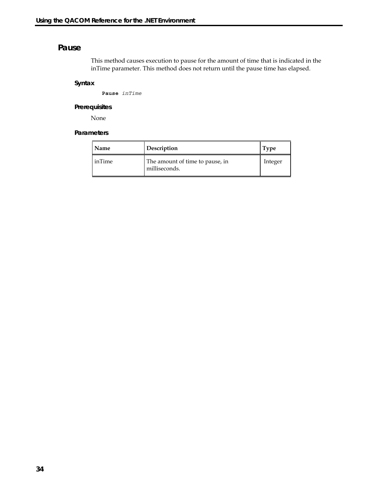### **Pause**

This method causes execution to pause for the amount of time that is indicated in the inTime parameter. This method does not return until the pause time has elapsed.

#### **Syntax**

**Pause** *inTime*

#### **Prerequisites**

None

| Name   | Description                                      | Type    |
|--------|--------------------------------------------------|---------|
| inTime | The amount of time to pause, in<br>milliseconds. | Integer |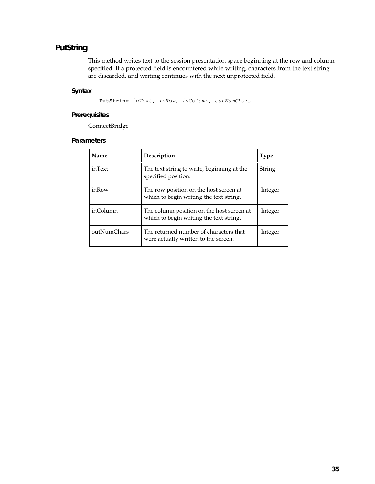## **PutString**

This method writes text to the session presentation space beginning at the row and column specified. If a protected field is encountered while writing, characters from the text string are discarded, and writing continues with the next unprotected field.

### **Syntax**

**PutString** *inText, inRow, inColumn, outNumChars*

### **Prerequisites**

ConnectBridge

| Name        | Description                                                                          | <b>Type</b> |
|-------------|--------------------------------------------------------------------------------------|-------------|
| inText      | The text string to write, beginning at the<br>specified position.                    | String      |
| inRow       | The row position on the host screen at<br>which to begin writing the text string.    | Integer     |
| inColumn    | The column position on the host screen at<br>which to begin writing the text string. | Integer     |
| outNumChars | The returned number of characters that<br>were actually written to the screen.       | Integer     |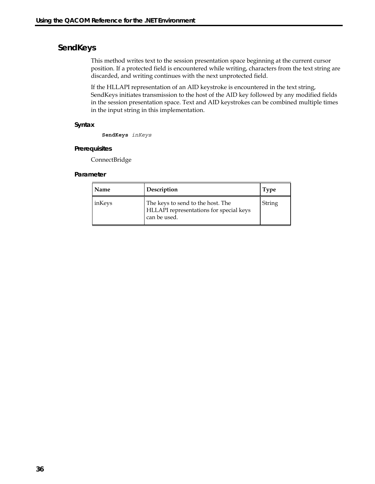## **SendKeys**

This method writes text to the session presentation space beginning at the current cursor position. If a protected field is encountered while writing, characters from the text string are discarded, and writing continues with the next unprotected field.

If the HLLAPI representation of an AID keystroke is encountered in the text string, SendKeys initiates transmission to the host of the AID key followed by any modified fields in the session presentation space. Text and AID keystrokes can be combined multiple times in the input string in this implementation.

#### **Syntax**

**SendKeys** *inKeys*

#### **Prerequisites**

ConnectBridge

| Name   | Description                                                                                         | <b>Type</b> |
|--------|-----------------------------------------------------------------------------------------------------|-------------|
| inKeys | The keys to send to the host. The<br><b>HLLAPI</b> representations for special keys<br>can be used. | String      |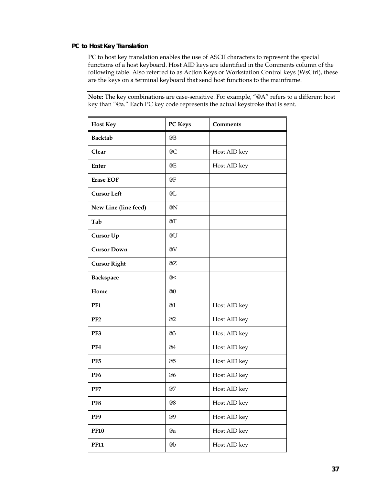### **PC to Host Key Translation**

PC to host key translation enables the use of ASCII characters to represent the special functions of a host keyboard. Host AID keys are identified in the Comments column of the following table. Also referred to as Action Keys or Workstation Control keys (WsCtrl), these are the keys on a terminal keyboard that send host functions to the mainframe.

**Note:** The key combinations are case-sensitive. For example, "@A" refers to a different host key than "@a." Each PC key code represents the actual keystroke that is sent.

| <b>Host Key</b>      | PC Keys | <b>Comments</b> |
|----------------------|---------|-----------------|
| <b>Backtab</b>       | @B      |                 |
| Clear                | @C      | Host AID key    |
| <b>Enter</b>         | @E      | Host AID key    |
| <b>Erase EOF</b>     | @F      |                 |
| <b>Cursor Left</b>   | @L      |                 |
| New Line (line feed) | @N      |                 |
| Tab                  | @T      |                 |
| Cursor Up            | @U      |                 |
| <b>Cursor Down</b>   | @V      |                 |
| <b>Cursor Right</b>  | @Z      |                 |
| <b>Backspace</b>     | @<      |                 |
| Home                 | @0      |                 |
| PF <sub>1</sub>      | @1      | Host AID key    |
| PF <sub>2</sub>      | @2      | Host AID key    |
| PF3                  | @3      | Host AID key    |
| PF4                  | @4      | Host AID key    |
| PF <sub>5</sub>      | @5      | Host AID key    |
| PF <sub>6</sub>      | @6      | Host AID key    |
| PF7                  | $@7$    | Host AID key    |
| PF8                  | @8      | Host AID key    |
| PF9                  | @9      | Host AID key    |
| <b>PF10</b>          | @a      | Host AID key    |
| <b>PF11</b>          | @b      | Host AID key    |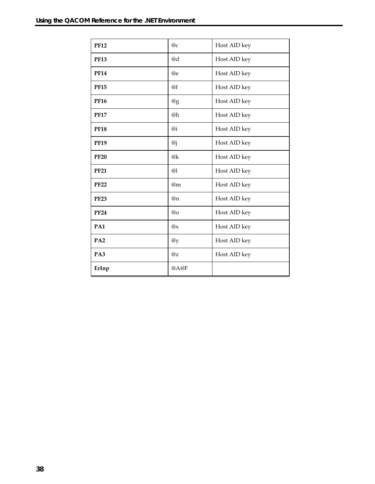| <b>PF12</b>     | @c                    | Host AID key |
|-----------------|-----------------------|--------------|
| <b>PF13</b>     | @d                    | Host AID key |
| <b>PF14</b>     | @e                    | Host AID key |
| <b>PF15</b>     | @f                    | Host AID key |
| <b>PF16</b>     | @g                    | Host AID key |
| <b>PF17</b>     | @h                    | Host AID key |
| <b>PF18</b>     | @i                    | Host AID key |
| <b>PF19</b>     | $\omega_{\mathbf{i}}$ | Host AID key |
| <b>PF20</b>     | @k                    | Host AID key |
| <b>PF21</b>     | @1                    | Host AID key |
| <b>PF22</b>     | @m                    | Host AID key |
| <b>PF23</b>     | @n                    | Host AID key |
| <b>PF24</b>     | @o                    | Host AID key |
| PA1             | @x                    | Host AID key |
| PA <sub>2</sub> | @y                    | Host AID key |
| PA3             | $@$ z                 | Host AID key |
| ErInp           | @A@F                  |              |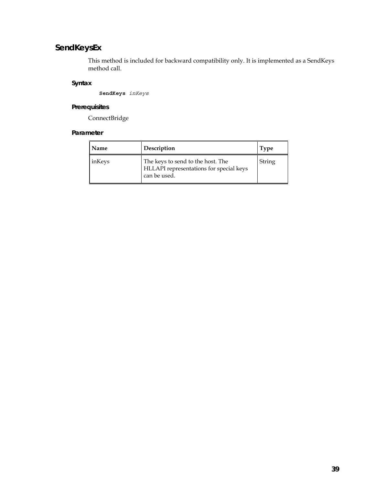# **SendKeysEx**

This method is included for backward compatibility only. It is implemented as a SendKeys method call.

### **Syntax**

**SendKeys** *inKeys*

# **Prerequisites**

ConnectBridge

| Name   | Description                                                                                  | <b>Type</b> |
|--------|----------------------------------------------------------------------------------------------|-------------|
| inKeys | The keys to send to the host. The<br>HLLAPI representations for special keys<br>can be used. | String      |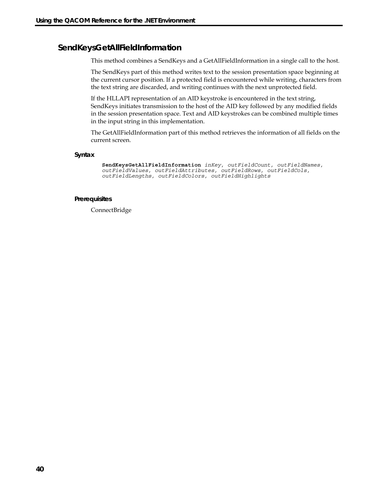# **SendKeysGetAllFieldInformation**

This method combines a SendKeys and a GetAllFieldInformation in a single call to the host.

The SendKeys part of this method writes text to the session presentation space beginning at the current cursor position. If a protected field is encountered while writing, characters from the text string are discarded, and writing continues with the next unprotected field.

If the HLLAPI representation of an AID keystroke is encountered in the text string, SendKeys initiates transmission to the host of the AID key followed by any modified fields in the session presentation space. Text and AID keystrokes can be combined multiple times in the input string in this implementation.

The GetAllFieldInformation part of this method retrieves the information of all fields on the current screen.

#### **Syntax**

```
SendKeysGetAllFieldInformation inKey, outFieldCount, outFieldNames, 
outFieldValues, outFieldAttributes, outFieldRows, outFieldCols, 
outFieldLengths, outFieldColors, outFieldHighlights
```
#### **Prerequisites**

ConnectBridge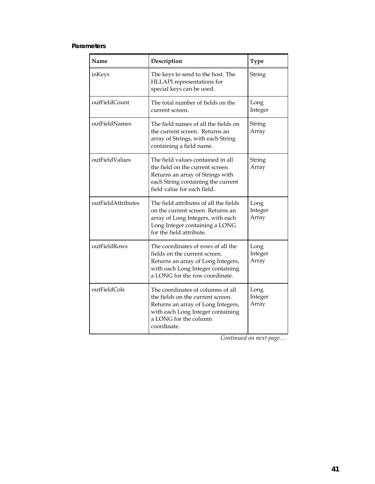### **Parameters**

| Name                | Description                                                                                                                                                                               | <b>Type</b>              |
|---------------------|-------------------------------------------------------------------------------------------------------------------------------------------------------------------------------------------|--------------------------|
| inKeys              | The keys to send to the host. The<br>HLLAPI representations for<br>special keys can be used.                                                                                              | String                   |
| outFieldCount       | The total number of fields on the<br>current screen.                                                                                                                                      | Long<br>Integer          |
| outFieldNames       | The field names of all the fields on<br>the current screen. Returns an<br>array of Strings, with each String<br>containing a field name.                                                  | String<br>Array          |
| outFieldValues      | The field values contained in all<br>the field on the current screen.<br>Returns an array of Strings with<br>each String containing the current<br>field value for each field.            | String<br>Array          |
| outField Attributes | The field attributes of all the fields<br>on the current screen. Returns an<br>array of Long Integers, with each<br>Long Integer containing a LONG<br>for the field attribute.            | Long<br>Integer<br>Array |
| outFieldRows        | The coordinates of rows of all the<br>fields on the current screen.<br>Returns an array of Long Integers,<br>with each Long Integer containing<br>a LONG for the row coordinate.          | Long<br>Integer<br>Array |
| outFieldCols        | The coordinates of columns of all<br>the fields on the current screen.<br>Returns an array of Long Integers,<br>with each Long Integer containing<br>a LONG for the column<br>coordinate. | Long<br>Integer<br>Array |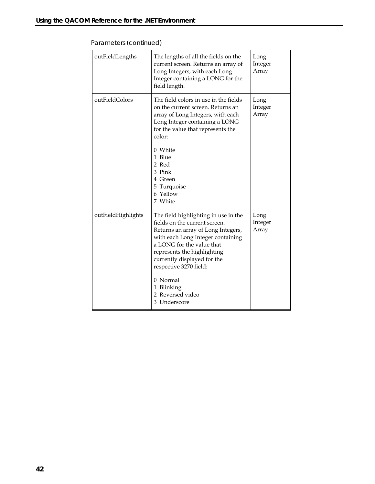| outFieldLengths    | The lengths of all the fields on the<br>current screen. Returns an array of<br>Long Integers, with each Long<br>Integer containing a LONG for the<br>field length.                                                                                                                                                                  | Long<br>Integer<br>Array |
|--------------------|-------------------------------------------------------------------------------------------------------------------------------------------------------------------------------------------------------------------------------------------------------------------------------------------------------------------------------------|--------------------------|
| outFieldColors     | The field colors in use in the fields<br>on the current screen. Returns an<br>array of Long Integers, with each<br>Long Integer containing a LONG<br>for the value that represents the<br>color:<br>0 White<br>1 Blue<br>2 Red<br>3 Pink<br>4 Green<br>5 Turquoise<br>6 Yellow<br>7 White                                           | Long<br>Integer<br>Array |
| outFieldHighlights | The field highlighting in use in the<br>fields on the current screen.<br>Returns an array of Long Integers,<br>with each Long Integer containing<br>a LONG for the value that<br>represents the highlighting<br>currently displayed for the<br>respective 3270 field:<br>0 Normal<br>1 Blinking<br>2 Reversed video<br>3 Underscore | Long<br>Integer<br>Array |

Parameters (*continued*)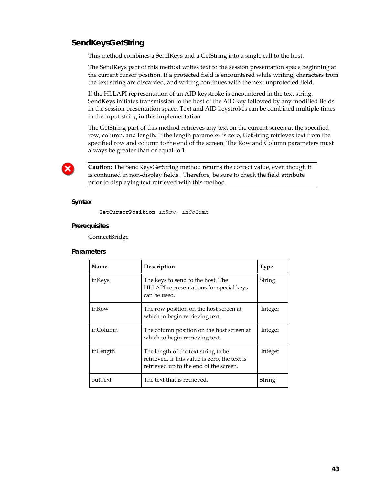# **SendKeysGetString**

This method combines a SendKeys and a GetString into a single call to the host.

The SendKeys part of this method writes text to the session presentation space beginning at the current cursor position. If a protected field is encountered while writing, characters from the text string are discarded, and writing continues with the next unprotected field.

If the HLLAPI representation of an AID keystroke is encountered in the text string, SendKeys initiates transmission to the host of the AID key followed by any modified fields in the session presentation space. Text and AID keystrokes can be combined multiple times in the input string in this implementation.

The GetString part of this method retrieves any text on the current screen at the specified row, column, and length. If the length parameter is zero, GetString retrieves text from the specified row and column to the end of the screen. The Row and Column parameters must always be greater than or equal to 1.



**Caution:** The SendKeysGetString method returns the correct value, even though it is contained in non-display fields. Therefore, be sure to check the field attribute prior to displaying text retrieved with this method.

#### **Syntax**

**SetCursorPosition** *inRow, inColumn*

#### **Prerequisites**

ConnectBridge

| Name     | Description                                                                                                                    | <b>Type</b> |
|----------|--------------------------------------------------------------------------------------------------------------------------------|-------------|
| inKeys   | The keys to send to the host. The<br>HLLAPI representations for special keys<br>can be used.                                   | String      |
| inRow    | The row position on the host screen at<br>which to begin retrieving text.                                                      | Integer     |
| inColumn | The column position on the host screen at<br>which to begin retrieving text.                                                   | Integer     |
| inLength | The length of the text string to be<br>retrieved. If this value is zero, the text is<br>retrieved up to the end of the screen. | Integer     |
| outText  | The text that is retrieved.                                                                                                    | String      |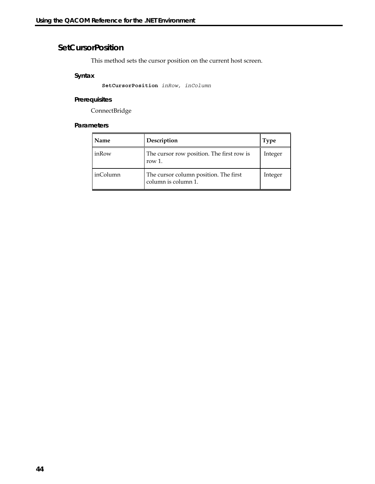# **SetCursorPosition**

This method sets the cursor position on the current host screen.

### **Syntax**

**SetCursorPosition** *inRow, inColumn*

### **Prerequisites**

ConnectBridge

| Name     | Description                                                  | <b>Type</b> |
|----------|--------------------------------------------------------------|-------------|
| inRow    | The cursor row position. The first row is<br>row $1$ .       | Integer     |
| inColumn | The cursor column position. The first<br>column is column 1. | Integer     |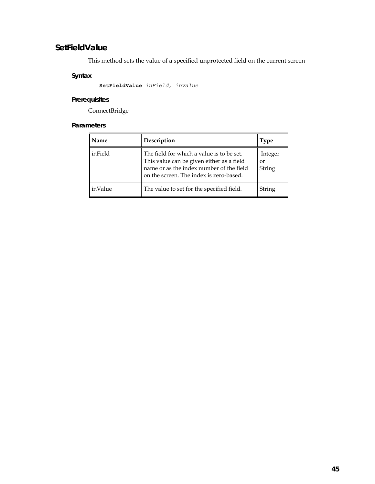# **SetFieldValue**

This method sets the value of a specified unprotected field on the current screen

# **Syntax**

**SetFieldValue** *inField, inValue*

# **Prerequisites**

ConnectBridge

| Name    | Description                                                                                                                                                                   | Type                    |
|---------|-------------------------------------------------------------------------------------------------------------------------------------------------------------------------------|-------------------------|
| inField | The field for which a value is to be set.<br>This value can be given either as a field<br>name or as the index number of the field<br>on the screen. The index is zero-based. | Integer<br>0r<br>String |
| inValue | The value to set for the specified field.                                                                                                                                     | String                  |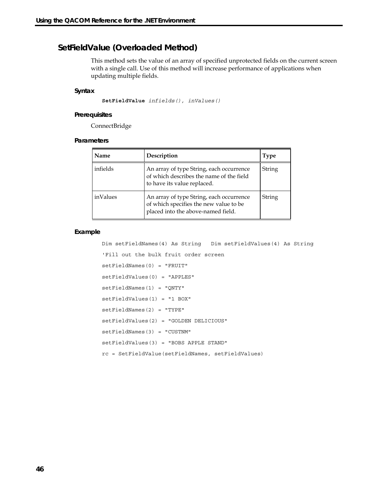# **SetFieldValue (Overloaded Method)**

This method sets the value of an array of specified unprotected fields on the current screen with a single call. Use of this method will increase performance of applications when updating multiple fields.

#### **Syntax**

**SetFieldValue** *infields(), inValues()* 

#### **Prerequisites**

ConnectBridge

#### **Parameters**

| Name     | Description                                                                                                              | <b>Type</b> |
|----------|--------------------------------------------------------------------------------------------------------------------------|-------------|
| infields | An array of type String, each occurrence<br>of which describes the name of the field<br>to have its value replaced.      | String      |
| inValues | An array of type String, each occurrence<br>of which specifies the new value to be<br>placed into the above-named field. | String      |

#### **Example**

```
Dim setFieldNames(4) As String Dim setFieldValues(4) As String 
'Fill out the bulk fruit order screen 
setFieldNames(0) = "FRUIT" 
setFieldValues(0) = "APPLES" 
setFieldNames(1) = "QNTY" 
setFieldValues(1) = "1 BOX" 
setFieldNames(2) = "TYPE" 
setFieldValues(2) = "GOLDEN DELICIOUS" 
setFieldNames(3) = "CUSTNM" 
setFieldValues(3) = "BOBS APPLE STAND" 
rc = SetFieldValue(setFieldNames, setFieldValues)
```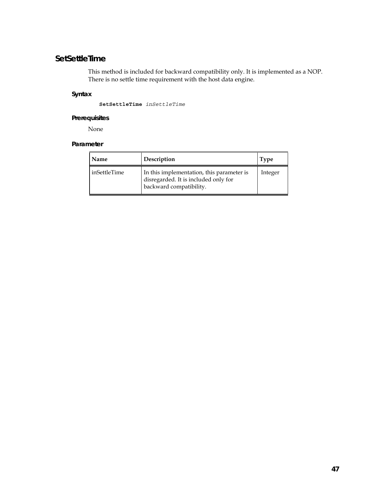# **SetSettleTime**

This method is included for backward compatibility only. It is implemented as a NOP. There is no settle time requirement with the host data engine.

### **Syntax**

**SetSettleTime** *inSettleTime*

### **Prerequisites**

None

| Name         | Description                                                                                                  | <b>Type</b> |
|--------------|--------------------------------------------------------------------------------------------------------------|-------------|
| inSettleTime | In this implementation, this parameter is<br>disregarded. It is included only for<br>backward compatibility. | Integer     |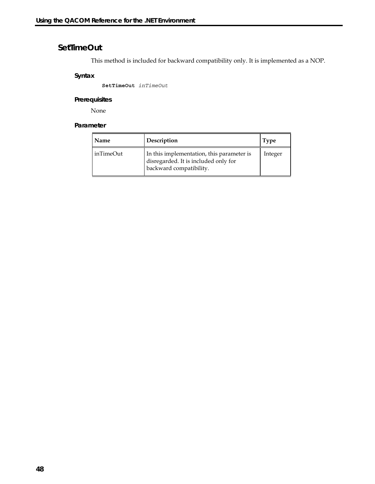# **SetTimeOut**

This method is included for backward compatibility only. It is implemented as a NOP.

### **Syntax**

**SetTimeOut** *inTimeOut*

### **Prerequisites**

None

| Name      | Description                                                                                                  | <b>Type</b> |
|-----------|--------------------------------------------------------------------------------------------------------------|-------------|
| inTimeOut | In this implementation, this parameter is<br>disregarded. It is included only for<br>backward compatibility. | Integer     |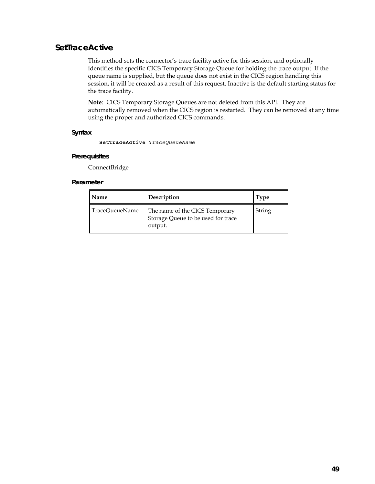### **SetTraceActive**

This method sets the connector's trace facility active for this session, and optionally identifies the specific CICS Temporary Storage Queue for holding the trace output. If the queue name is supplied, but the queue does not exist in the CICS region handling this session, it will be created as a result of this request. Inactive is the default starting status for the trace facility.

**Note**: CICS Temporary Storage Queues are not deleted from this API. They are automatically removed when the CICS region is restarted. They can be removed at any time using the proper and authorized CICS commands.

#### **Syntax**

**SetTraceActive** *TraceQueueName*

#### **Prerequisites**

ConnectBridge

| <b>Name</b>    | Description                                                                     | <b>Type</b> |
|----------------|---------------------------------------------------------------------------------|-------------|
| TraceQueueName | The name of the CICS Temporary<br>Storage Queue to be used for trace<br>output. | String      |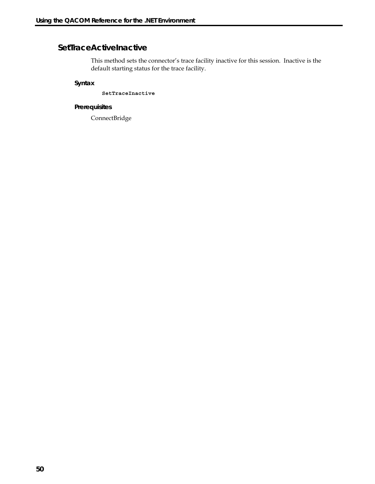# **SetTraceActiveInactive**

This method sets the connector's trace facility inactive for this session. Inactive is the default starting status for the trace facility.

**Syntax** 

**SetTraceInactive**

### **Prerequisites**

ConnectBridge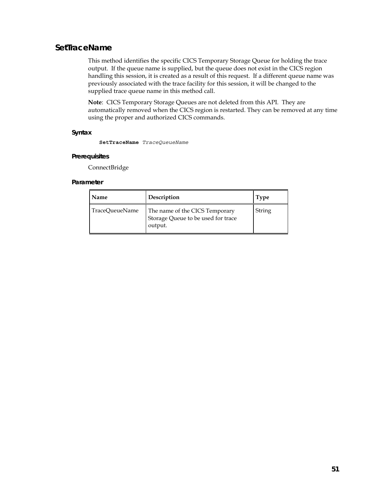# **SetTraceName**

This method identifies the specific CICS Temporary Storage Queue for holding the trace output. If the queue name is supplied, but the queue does not exist in the CICS region handling this session, it is created as a result of this request. If a different queue name was previously associated with the trace facility for this session, it will be changed to the supplied trace queue name in this method call.

**Note**: CICS Temporary Storage Queues are not deleted from this API. They are automatically removed when the CICS region is restarted. They can be removed at any time using the proper and authorized CICS commands.

#### **Syntax**

**SetTraceName** *TraceQueueName*

#### **Prerequisites**

ConnectBridge

| <b>Name</b>    | Description                                                                     | <b>Type</b> |
|----------------|---------------------------------------------------------------------------------|-------------|
| TraceQueueName | The name of the CICS Temporary<br>Storage Queue to be used for trace<br>output. | String      |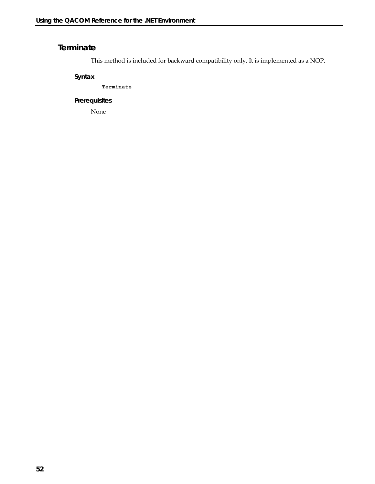# **Terminate**

This method is included for backward compatibility only. It is implemented as a NOP.

**Syntax** 

**Terminate**

### **Prerequisites**

None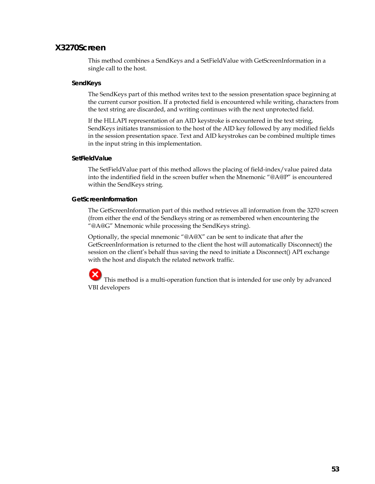### **X3270Screen**

This method combines a SendKeys and a SetFieldValue with GetScreenInformation in a single call to the host.

#### **SendKeys**

The SendKeys part of this method writes text to the session presentation space beginning at the current cursor position. If a protected field is encountered while writing, characters from the text string are discarded, and writing continues with the next unprotected field.

If the HLLAPI representation of an AID keystroke is encountered in the text string, SendKeys initiates transmission to the host of the AID key followed by any modified fields in the session presentation space. Text and AID keystrokes can be combined multiple times in the input string in this implementation.

#### **SetFieldValue**

The SetFieldValue part of this method allows the placing of field-index/value paired data into the indentified field in the screen buffer when the Mnemonic "@A@P" is encountered within the SendKeys string.

#### **GetScreenInformation**

The GetScreenInformation part of this method retrieves all information from the 3270 screen (from either the end of the Sendkeys string or as remembered when encountering the "@A@G" Mnemonic while processing the SendKeys string).

Optionally, the special mnemonic "@A@X" can be sent to indicate that after the GetScreenInformation is returned to the client the host will automatically Disconnect() the session on the client's behalf thus saving the need to initiate a Disconnect() API exchange with the host and dispatch the related network traffic.

 This method is a multi-operation function that is intended for use only by advanced VBI developers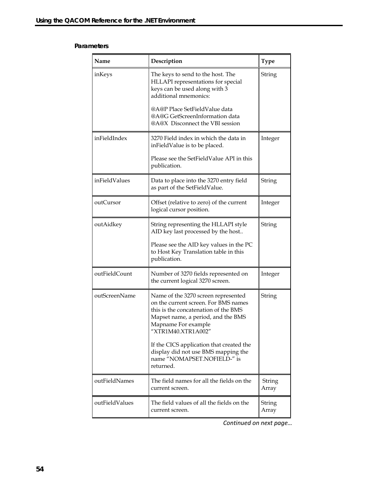#### **Parameters**

| Name           | Description                                                                                                                                                                                            | <b>Type</b>            |
|----------------|--------------------------------------------------------------------------------------------------------------------------------------------------------------------------------------------------------|------------------------|
| inKeys         | The keys to send to the host. The<br>HLLAPI representations for special<br>keys can be used along with 3<br>additional mnemonics:                                                                      | String                 |
|                | @A@P Place SetFieldValue data<br>@A@G GetScreenInformation data<br>@A@X Disconnect the VBI session                                                                                                     |                        |
| inFieldIndex   | 3270 Field index in which the data in<br>inFieldValue is to be placed.                                                                                                                                 | Integer                |
|                | Please see the SetFieldValue API in this<br>publication.                                                                                                                                               |                        |
| inFieldValues  | Data to place into the 3270 entry field<br>as part of the SetFieldValue.                                                                                                                               | <b>String</b>          |
| outCursor      | Offset (relative to zero) of the current<br>logical cursor position.                                                                                                                                   | Integer                |
| outAidkey      | String representing the HLLAPI style<br>AID key last processed by the host                                                                                                                             | <b>String</b>          |
|                | Please see the AID key values in the PC<br>to Host Key Translation table in this<br>publication.                                                                                                       |                        |
| outFieldCount  | Number of 3270 fields represented on<br>the current logical 3270 screen.                                                                                                                               | Integer                |
| outScreenName  | Name of the 3270 screen represented<br>on the current screen. For BMS names<br>this is the concatenation of the BMS<br>Mapset name, a period, and the BMS<br>Mapname For example<br>"XTR1M40.XTR1A002" | String                 |
|                | If the CICS application that created the<br>display did not use BMS mapping the<br>name "NOMAPSET.NOFIELD-" is<br>returned.                                                                            |                        |
| outFieldNames  | The field names for all the fields on the<br>current screen.                                                                                                                                           | <b>String</b><br>Array |
| outFieldValues | The field values of all the fields on the<br>current screen.                                                                                                                                           | <b>String</b><br>Array |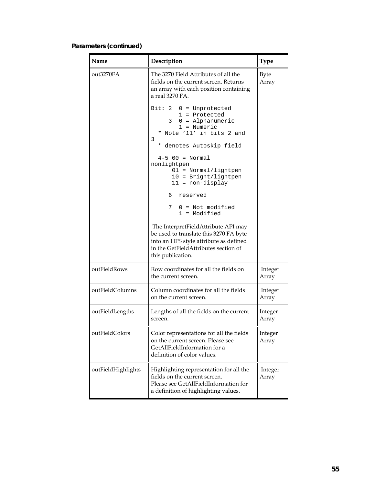# **Parameters (continued)**

| Name               | Description                                                                                                                                                                          | <b>Type</b>          |
|--------------------|--------------------------------------------------------------------------------------------------------------------------------------------------------------------------------------|----------------------|
| out3270FA          | The 3270 Field Attributes of all the<br>fields on the current screen. Returns<br>an array with each position containing<br>a real 3270 FA.                                           | <b>Byte</b><br>Array |
|                    | Bit: 2 $0 =$ Unprotected<br>$1$ = Protected<br>$3 \quad 0 =$ Alphanumeric<br>$1 =$ Numeric<br>* Note '11' in bits 2 and<br>3<br>* denotes Autoskip field                             |                      |
|                    | $4 - 5$ 00 = Normal<br>nonlightpen<br>$01 = Normal/lightpen$<br>$10 =$ Bright/lightpen<br>$11 = non-display$                                                                         |                      |
|                    | 6 reserved<br>7<br>$0 = Not modified$<br>1 = Modified                                                                                                                                |                      |
|                    | The InterpretFieldAttribute API may<br>be used to translate this 3270 FA byte<br>into an HPS style attribute as defined<br>in the GetFieldAttributes section of<br>this publication. |                      |
| outFieldRows       | Row coordinates for all the fields on<br>the current screen.                                                                                                                         | Integer<br>Array     |
| outFieldColumns    | Column coordinates for all the fields<br>on the current screen.                                                                                                                      | Integer<br>Array     |
| outFieldLengths    | Lengths of all the fields on the current<br>screen.                                                                                                                                  | Integer<br>Array     |
| outFieldColors     | Color representations for all the fields<br>on the current screen. Please see<br>GetAllFieldInformation for a<br>definition of color values.                                         | Integer<br>Array     |
| outFieldHighlights | Highlighting representation for all the<br>fields on the current screen.<br>Please see GetAllFieldInformation for<br>a definition of highlighting values.                            | Integer<br>Array     |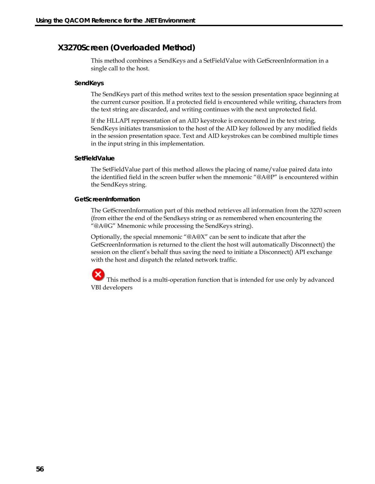# **X3270Screen (Overloaded Method)**

This method combines a SendKeys and a SetFieldValue with GetScreenInformation in a single call to the host.

### **SendKeys**

The SendKeys part of this method writes text to the session presentation space beginning at the current cursor position. If a protected field is encountered while writing, characters from the text string are discarded, and writing continues with the next unprotected field.

If the HLLAPI representation of an AID keystroke is encountered in the text string, SendKeys initiates transmission to the host of the AID key followed by any modified fields in the session presentation space. Text and AID keystrokes can be combined multiple times in the input string in this implementation.

### **SetFieldValue**

The SetFieldValue part of this method allows the placing of name/value paired data into the identified field in the screen buffer when the mnemonic "@A@P" is encountered within the SendKeys string.

### **GetScreenInformation**

The GetScreenInformation part of this method retrieves all information from the 3270 screen (from either the end of the Sendkeys string or as remembered when encountering the "@A@G" Mnemonic while processing the SendKeys string).

Optionally, the special mnemonic "@A@X" can be sent to indicate that after the GetScreenInformation is returned to the client the host will automatically Disconnect() the session on the client's behalf thus saving the need to initiate a Disconnect() API exchange with the host and dispatch the related network traffic.

 This method is a multi-operation function that is intended for use only by advanced VBI developers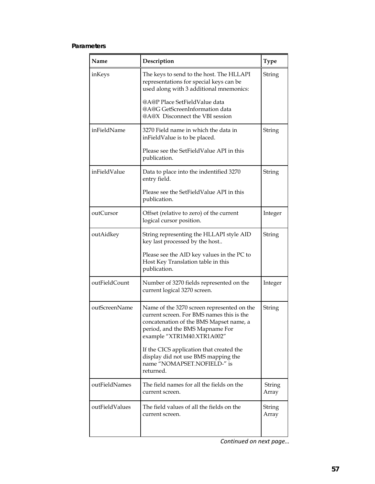### **Parameters**

| Name           | Description                                                                                                                                                                                         | <b>Type</b>     |
|----------------|-----------------------------------------------------------------------------------------------------------------------------------------------------------------------------------------------------|-----------------|
| inKeys         | The keys to send to the host. The HLLAPI<br>representations for special keys can be<br>used along with 3 additional mnemonics:                                                                      | String          |
|                | @A@P Place SetFieldValue data<br>@A@G GetScreenInformation data<br>@A@X Disconnect the VBI session                                                                                                  |                 |
| inFieldName    | 3270 Field name in which the data in<br>inFieldValue is to be placed.                                                                                                                               | String          |
|                | Please see the SetFieldValue API in this<br>publication.                                                                                                                                            |                 |
| inFieldValue   | Data to place into the indentified 3270<br>entry field.                                                                                                                                             | String          |
|                | Please see the SetFieldValue API in this<br>publication.                                                                                                                                            |                 |
| outCursor      | Offset (relative to zero) of the current<br>logical cursor position.                                                                                                                                | Integer         |
| outAidkey      | String representing the HLLAPI style AID<br>key last processed by the host                                                                                                                          | String          |
|                | Please see the AID key values in the PC to<br>Host Key Translation table in this<br>publication.                                                                                                    |                 |
| outFieldCount  | Number of 3270 fields represented on the<br>current logical 3270 screen.                                                                                                                            | Integer         |
| outScreenName  | Name of the 3270 screen represented on the<br>current screen. For BMS names this is the<br>concatenation of the BMS Mapset name, a<br>period, and the BMS Mapname For<br>example "XTR1M40.XTR1A002" | String          |
|                | If the CICS application that created the<br>display did not use BMS mapping the<br>name "NOMAPSET.NOFIELD-" is<br>returned.                                                                         |                 |
| outFieldNames  | The field names for all the fields on the<br>current screen.                                                                                                                                        | String<br>Array |
| outFieldValues | The field values of all the fields on the<br>current screen.                                                                                                                                        | String<br>Array |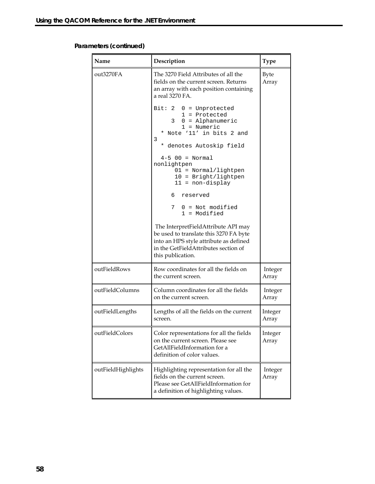# **Parameters (continued)**

| Name               | Description                                                                                                                                                                          | <b>Type</b>          |
|--------------------|--------------------------------------------------------------------------------------------------------------------------------------------------------------------------------------|----------------------|
| out3270FA          | The 3270 Field Attributes of all the<br>fields on the current screen. Returns<br>an array with each position containing<br>a real 3270 FA.                                           | <b>Byte</b><br>Array |
|                    | Bit: $2 \quad 0 =$ Unprotected<br>$1 =$ Protected<br>$3 \quad 0 = \text{Alphantumeric}$<br>$1 =$ Numeric<br>* Note '11' in bits 2 and<br>3<br>* denotes Autoskip field               |                      |
|                    | $4-5$ 00 = Normal<br>nonlightpen<br>$01 = Normal/lightpen$<br>$10 =$ Bright/lightpen<br>$11 = non-display$                                                                           |                      |
|                    | 6 reserved                                                                                                                                                                           |                      |
|                    | 7 0 = Not modified<br>$1 =$ Modified                                                                                                                                                 |                      |
|                    | The InterpretFieldAttribute API may<br>be used to translate this 3270 FA byte<br>into an HPS style attribute as defined<br>in the GetFieldAttributes section of<br>this publication. |                      |
| outFieldRows       | Row coordinates for all the fields on<br>the current screen.                                                                                                                         | Integer<br>Array     |
| outFieldColumns    | Column coordinates for all the fields<br>on the current screen.                                                                                                                      | Integer<br>Array     |
| outFieldLengths    | Lengths of all the fields on the current<br>screen.                                                                                                                                  | Integer<br>Array     |
| outFieldColors     | Color representations for all the fields<br>on the current screen. Please see<br>GetAllFieldInformation for a<br>definition of color values.                                         | Integer<br>Array     |
| outFieldHighlights | Highlighting representation for all the<br>fields on the current screen.<br>Please see GetAllFieldInformation for<br>a definition of highlighting values.                            | Integer<br>Array     |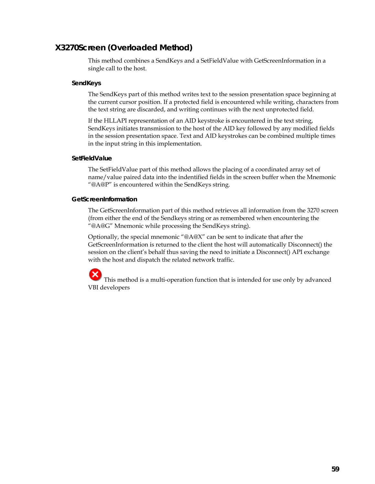# **X3270Screen (Overloaded Method)**

This method combines a SendKeys and a SetFieldValue with GetScreenInformation in a single call to the host.

#### **SendKeys**

The SendKeys part of this method writes text to the session presentation space beginning at the current cursor position. If a protected field is encountered while writing, characters from the text string are discarded, and writing continues with the next unprotected field.

If the HLLAPI representation of an AID keystroke is encountered in the text string, SendKeys initiates transmission to the host of the AID key followed by any modified fields in the session presentation space. Text and AID keystrokes can be combined multiple times in the input string in this implementation.

#### **SetFieldValue**

The SetFieldValue part of this method allows the placing of a coordinated array set of name/value paired data into the indentified fields in the screen buffer when the Mnemonic "@A@P" is encountered within the SendKeys string.

#### **GetScreenInformation**

The GetScreenInformation part of this method retrieves all information from the 3270 screen (from either the end of the Sendkeys string or as remembered when encountering the "@A@G" Mnemonic while processing the SendKeys string).

Optionally, the special mnemonic "@A@X" can be sent to indicate that after the GetScreenInformation is returned to the client the host will automatically Disconnect() the session on the client's behalf thus saving the need to initiate a Disconnect() API exchange with the host and dispatch the related network traffic.

 This method is a multi-operation function that is intended for use only by advanced VBI developers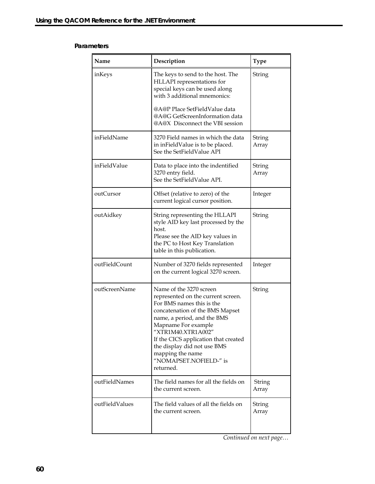#### **Parameters**

| Name           | Description                                                                                                                                                                                                                                                                                                                                 | <b>Type</b>            |
|----------------|---------------------------------------------------------------------------------------------------------------------------------------------------------------------------------------------------------------------------------------------------------------------------------------------------------------------------------------------|------------------------|
| inKeys         | The keys to send to the host. The<br>HLLAPI representations for<br>special keys can be used along<br>with 3 additional mnemonics:<br>@A@P Place SetFieldValue data<br>@A@G GetScreenInformation data                                                                                                                                        | String                 |
|                | @A@X Disconnect the VBI session                                                                                                                                                                                                                                                                                                             |                        |
| inFieldName    | 3270 Field names in which the data<br>in inFieldValue is to be placed.<br>See the SetFieldValue API                                                                                                                                                                                                                                         | String<br>Array        |
| inFieldValue   | Data to place into the indentified<br>3270 entry field.<br>See the SetFieldValue API.                                                                                                                                                                                                                                                       | String<br>Array        |
| outCursor      | Offset (relative to zero) of the<br>current logical cursor position.                                                                                                                                                                                                                                                                        | Integer                |
| outAidkey      | String representing the HLLAPI<br>style AID key last processed by the<br>host.<br>Please see the AID key values in<br>the PC to Host Key Translation<br>table in this publication.                                                                                                                                                          | <b>String</b>          |
| outFieldCount  | Number of 3270 fields represented<br>on the current logical 3270 screen.                                                                                                                                                                                                                                                                    | Integer                |
| outScreenName  | Name of the 3270 screen<br>represented on the current screen.<br>For BMS names this is the<br>concatenation of the BMS Mapset<br>name, a period, and the BMS<br>Mapname For example<br>"XTR1M40.XTR1A002"<br>If the CICS application that created<br>the display did not use BMS<br>mapping the name<br>"NOMAPSET.NOFIELD-" is<br>returned. | String                 |
| outFieldNames  | The field names for all the fields on<br>the current screen.                                                                                                                                                                                                                                                                                | <b>String</b><br>Array |
| outFieldValues | The field values of all the fields on<br>the current screen.                                                                                                                                                                                                                                                                                | String<br>Array        |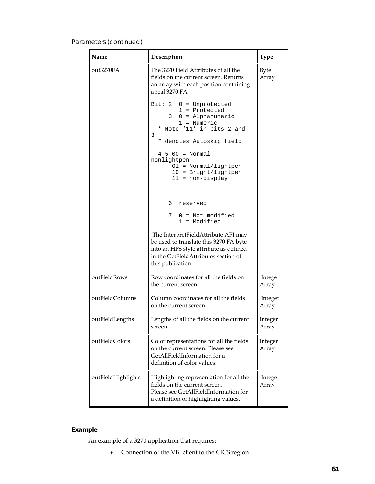# Parameters (*continued*)

| Name               | Description                                                                                                                                                                                                                                                                          | <b>Type</b>          |
|--------------------|--------------------------------------------------------------------------------------------------------------------------------------------------------------------------------------------------------------------------------------------------------------------------------------|----------------------|
| out3270FA          | The 3270 Field Attributes of all the<br>fields on the current screen. Returns<br>an array with each position containing<br>a real 3270 FA.                                                                                                                                           | <b>Byte</b><br>Array |
|                    | Bit: $2 \quad 0 =$ Unprotected<br>$1 =$ Protected<br>$3 \quad 0 = \text{Alphantumeric}$<br>1 = Numeric<br>* Note '11' in bits 2 and<br>3<br>* denotes Autoskip field<br>$4 - 5$ 00 = Normal<br>nonlightpen<br>$01 = Normal/lightpen$<br>$10 =$ Bright/lightpen<br>$11 = non-display$ |                      |
|                    | 6<br>reserved                                                                                                                                                                                                                                                                        |                      |
|                    | $0 = Not modified$<br>7<br>$1 =$ Modified                                                                                                                                                                                                                                            |                      |
|                    | The InterpretFieldAttribute API may<br>be used to translate this 3270 FA byte<br>into an HPS style attribute as defined<br>in the GetFieldAttributes section of<br>this publication.                                                                                                 |                      |
| outFieldRows       | Row coordinates for all the fields on<br>the current screen.                                                                                                                                                                                                                         | Integer<br>Array     |
| outFieldColumns    | Column coordinates for all the fields<br>on the current screen.                                                                                                                                                                                                                      | Integer<br>Array     |
| outFieldLengths    | Lengths of all the fields on the current<br>screen.                                                                                                                                                                                                                                  | Integer<br>Array     |
| outFieldColors     | Color representations for all the fields<br>on the current screen. Please see<br>GetAllFieldInformation for a<br>definition of color values.                                                                                                                                         | Integer<br>Array     |
| outFieldHighlights | Highlighting representation for all the<br>fields on the current screen.<br>Please see GetAllFieldInformation for<br>a definition of highlighting values.                                                                                                                            | Integer<br>Array     |

# **Example**

An example of a 3270 application that requires:

• Connection of the VBI client to the CICS region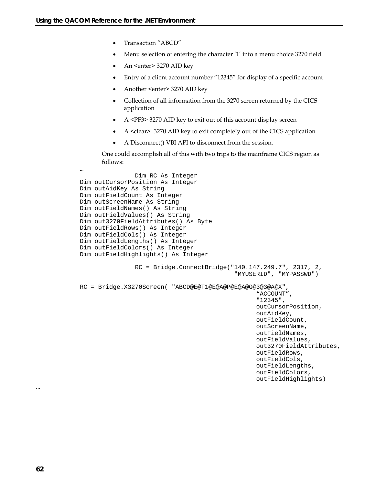…

- Transaction "ABCD"
- Menu selection of entering the character '1' into a menu choice 3270 field
- An <enter> 3270 AID key
- Entry of a client account number "12345" for display of a specific account
- Another <enter> 3270 AID key
- Collection of all information from the 3270 screen returned by the CICS application
- A <PF3> 3270 AID key to exit out of this account display screen
- A <clear> 3270 AID key to exit completely out of the CICS application
- A Disconnect() VBI API to disconnect from the session.

One could accomplish all of this with two trips to the mainframe CICS region as follows:

```
 Dim RC As Integer 
Dim outCursorPosition As Integer 
Dim outAidKey As String 
Dim outFieldCount As Integer 
Dim outScreenName As String 
Dim outFieldNames() As String 
Dim outFieldValues() As String 
Dim out3270FieldAttributes() As Byte 
Dim outFieldRows() As Integer 
Dim outFieldCols() As Integer 
Dim outFieldLengths() As Integer 
Dim outFieldColors() As Integer 
Dim outFieldHighlights() As Integer 
                RC = Bridge.ConnectBridge("140.147.249.7", 2317, 2, 
                                             "MYUSERID", "MYPASSWD") 
RC = Bridge.X3270Screen( "ABCD@E@T1@E@A@P@E@A@G@3@3@A@X", 
                                                    "ACCOUNT", 
                                                   "12345", 
                                                   outCursorPosition, 
                                                   outAidKey, 
                                                   outFieldCount, 
                                                   outScreenName, 
                                                   outFieldNames, 
                                                   outFieldValues, 
                                                   out3270FieldAttributes, 
                                                   outFieldRows, 
                                                   outFieldCols, 
                                                   outFieldLengths, 
                                                   outFieldColors, 
                                                   outFieldHighlights)
```
…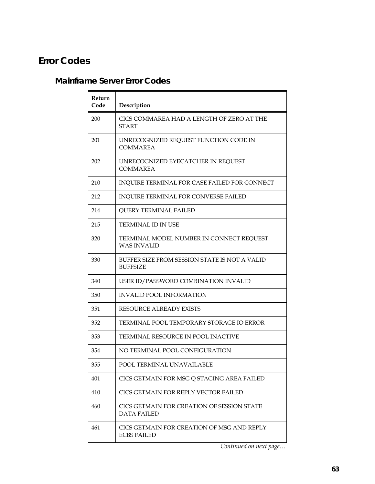# **Error Codes**

# **Mainframe Server Error Codes**

| Return<br>Code | Description                                                      |
|----------------|------------------------------------------------------------------|
| 200            | CICS COMMAREA HAD A LENGTH OF ZERO AT THE<br><b>START</b>        |
| 201            | UNRECOGNIZED REQUEST FUNCTION CODE IN<br><b>COMMAREA</b>         |
| 202            | UNRECOGNIZED EYECATCHER IN REQUEST<br><b>COMMAREA</b>            |
| 210            | INQUIRE TERMINAL FOR CASE FAILED FOR CONNECT                     |
| 212            | INQUIRE TERMINAL FOR CONVERSE FAILED                             |
| 214            | <b>QUERY TERMINAL FAILED</b>                                     |
| 215            | <b>TERMINAL ID IN USE</b>                                        |
| 320            | TERMINAL MODEL NUMBER IN CONNECT REQUEST<br><b>WAS INVALID</b>   |
| 330            | BUFFER SIZE FROM SESSION STATE IS NOT A VALID<br><b>BUFFSIZE</b> |
| 340            | USER ID/PASSWORD COMBINATION INVALID                             |
| 350            | <b>INVALID POOL INFORMATION</b>                                  |
| 351            | <b>RESOURCE ALREADY EXISTS</b>                                   |
| 352            | TERMINAL POOL TEMPORARY STORAGE IO ERROR                         |
| 353            | TERMINAL RESOURCE IN POOL INACTIVE                               |
| 354            | NO TERMINAL POOL CONFIGURATION                                   |
| 355            | POOL TERMINAL UNAVAILABLE                                        |
| 401            | CICS GETMAIN FOR MSG Q STAGING AREA FAILED                       |
| 410            | CICS GETMAIN FOR REPLY VECTOR FAILED                             |
| 460            | CICS GETMAIN FOR CREATION OF SESSION STATE<br><b>DATA FAILED</b> |
| 461            | CICS GETMAIN FOR CREATION OF MSG AND REPLY<br><b>ECBS FAILED</b> |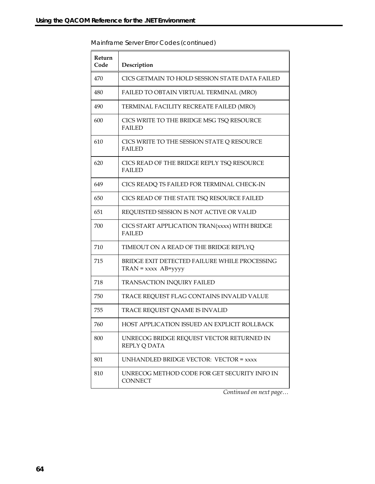| Return |                                                                          |
|--------|--------------------------------------------------------------------------|
| Code   | Description                                                              |
| 470    | CICS GETMAIN TO HOLD SESSION STATE DATA FAILED                           |
| 480    | FAILED TO OBTAIN VIRTUAL TERMINAL (MRO)                                  |
| 490    | TERMINAL FACILITY RECREATE FAILED (MRO)                                  |
| 600    | CICS WRITE TO THE BRIDGE MSG TSQ RESOURCE<br><b>FAILED</b>               |
| 610    | CICS WRITE TO THE SESSION STATE Q RESOURCE<br><b>FAILED</b>              |
| 620    | CICS READ OF THE BRIDGE REPLY TSQ RESOURCE<br><b>FAILED</b>              |
| 649    | CICS READQ TS FAILED FOR TERMINAL CHECK-IN                               |
| 650    | CICS READ OF THE STATE TSQ RESOURCE FAILED                               |
| 651    | REQUESTED SESSION IS NOT ACTIVE OR VALID                                 |
| 700    | CICS START APPLICATION TRAN(xxxx) WITH BRIDGE<br><b>FAILED</b>           |
| 710    | TIMEOUT ON A READ OF THE BRIDGE REPLYQ                                   |
| 715    | BRIDGE EXIT DETECTED FAILURE WHILE PROCESSING<br>$TRAN = xxxx AB = yyyy$ |
| 718    | TRANSACTION INQUIRY FAILED                                               |
| 750    | TRACE REQUEST FLAG CONTAINS INVALID VALUE                                |
| 755    | TRACE REQUEST QNAME IS INVALID                                           |
| 760    | HOST APPLICATION ISSUED AN EXPLICIT ROLLBACK                             |
| 800    | UNRECOG BRIDGE REQUEST VECTOR RETURNED IN<br>REPLY Q DATA                |
| 801    | UNHANDLED BRIDGE VECTOR: VECTOR = $xxxx$                                 |
| 810    | UNRECOG METHOD CODE FOR GET SECURITY INFO IN<br><b>CONNECT</b>           |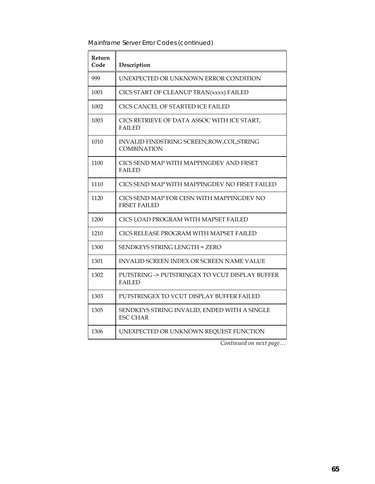| Return<br>Code | Description                                                       |
|----------------|-------------------------------------------------------------------|
| 999            | UNEXPECTED OR UNKNOWN ERROR CONDITION                             |
| 1001           | CICS START OF CLEANUP TRAN(xxxx) FAILED                           |
| 1002           | CICS CANCEL OF STARTED ICE FAILED                                 |
| 1003           | CICS RETRIEVE OF DATA ASSOC WITH ICE START,<br><b>FAILED</b>      |
| 1010           | INVALID FINDSTRING SCREEN, ROW, COL, STRING<br><b>COMBINATION</b> |
| 1100           | CICS SEND MAP WITH MAPPINGDEV AND FRSET<br><b>FAILED</b>          |
| 1110           | CICS SEND MAP WITH MAPPINGDEV NO FRSET FAILED                     |
| 1120           | CICS SEND MAP FOR CESN WITH MAPPINGDEV NO<br><b>FRSET FAILED</b>  |
| 1200           | CICS LOAD PROGRAM WITH MAPSET FAILED                              |
| 1210           | CICS RELEASE PROGRAM WITH MAPSET FAILED                           |
| 1300           | <b>SENDKEYS STRING LENGTH = ZERO</b>                              |
| 1301           | INVALID SCREEN INDEX OR SCREEN NAME VALUE                         |
| 1302           | PUTSTRING -> PUTSTRINGEX TO VCUT DISPLAY BUFFER<br><b>FAILED</b>  |
| 1303           | PUTSTRINGEX TO VCUT DISPLAY BUFFER FAILED                         |
| 1305           | SENDKEYS STRING INVALID, ENDED WITH A SINGLE<br><b>ESC CHAR</b>   |
| 1306           | UNEXPECTED OR UNKNOWN REQUEST FUNCTION                            |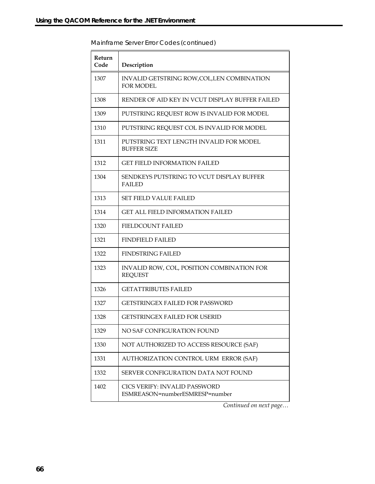| Return<br>Code | Description                                                     |
|----------------|-----------------------------------------------------------------|
| 1307           | INVALID GETSTRING ROW, COL, LEN COMBINATION<br><b>FOR MODEL</b> |
| 1308           | RENDER OF AID KEY IN VCUT DISPLAY BUFFER FAILED                 |
| 1309           | PUTSTRING REQUEST ROW IS INVALID FOR MODEL                      |
| 1310           | PUTSTRING REQUEST COL IS INVALID FOR MODEL                      |
| 1311           | PUTSTRING TEXT LENGTH INVALID FOR MODEL<br><b>BUFFER SIZE</b>   |
| 1312           | <b>GET FIELD INFORMATION FAILED</b>                             |
| 1304           | SENDKEYS PUTSTRING TO VCUT DISPLAY BUFFER<br><b>FAILED</b>      |
| 1313           | <b>SET FIELD VALUE FAILED</b>                                   |
| 1314           | <b>GET ALL FIELD INFORMATION FAILED</b>                         |
| 1320           | <b>FIELDCOUNT FAILED</b>                                        |
| 1321           | <b>FINDFIELD FAILED</b>                                         |
| 1322           | <b>FINDSTRING FAILED</b>                                        |
| 1323           | INVALID ROW, COL, POSITION COMBINATION FOR<br><b>REQUEST</b>    |
| 1326           | <b>GETATTRIBUTES FAILED</b>                                     |
| 1327           | GETSTRINGEX FAILED FOR PASSWORD                                 |
| 1328           | <b>GETSTRINGEX FAILED FOR USERID</b>                            |
| 1329           | NO SAF CONFIGURATION FOUND                                      |
| 1330           | NOT AUTHORIZED TO ACCESS RESOURCE (SAF)                         |
| 1331           | AUTHORIZATION CONTROL URM ERROR (SAF)                           |
| 1332           | SERVER CONFIGURATION DATA NOT FOUND                             |
| 1402           | CICS VERIFY: INVALID PASSWORD<br>ESMREASON=numberESMRESP=number |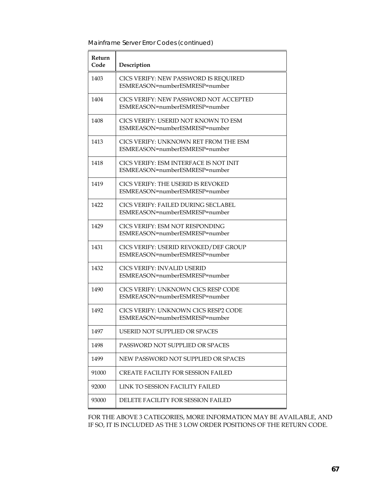| Return<br>Code | Description                                                              |
|----------------|--------------------------------------------------------------------------|
| 1403           | CICS VERIFY: NEW PASSWORD IS REQUIRED<br>ESMREASON=numberESMRESP=number  |
| 1404           | CICS VERIFY: NEW PASSWORD NOT ACCEPTED<br>ESMREASON=numberESMRESP=number |
| 1408           | CICS VERIFY: USERID NOT KNOWN TO ESM<br>ESMREASON=numberESMRESP=number   |
| 1413           | CICS VERIFY: UNKNOWN RET FROM THE ESM<br>ESMREASON=numberESMRESP=number  |
| 1418           | CICS VERIFY: ESM INTERFACE IS NOT INIT<br>ESMREASON=numberESMRESP=number |
| 1419           | CICS VERIFY: THE USERID IS REVOKED<br>ESMREASON=numberESMRESP=number     |
| 1422           | CICS VERIFY: FAILED DURING SECLABEL<br>ESMREASON=numberESMRESP=number    |
| 1429           | CICS VERIFY: ESM NOT RESPONDING<br>ESMREASON=numberESMRESP=number        |
| 1431           | CICS VERIFY: USERID REVOKED/DEF GROUP<br>ESMREASON=numberESMRESP=number  |
| 1432           | CICS VERIFY: INVALID USERID<br>ESMREASON=numberESMRESP=number            |
| 1490           | CICS VERIFY: UNKNOWN CICS RESP CODE<br>ESMREASON=numberESMRESP=number    |
| 1492           | CICS VERIFY: UNKNOWN CICS RESP2 CODE<br>ESMREASON=numberESMRESP=number   |
| 1497           | <b>USERID NOT SUPPLIED OR SPACES</b>                                     |
| 1498           | PASSWORD NOT SUPPLIED OR SPACES                                          |
| 1499           | NEW PASSWORD NOT SUPPLIED OR SPACES                                      |
| 91000          | <b>CREATE FACILITY FOR SESSION FAILED</b>                                |
| 92000          | LINK TO SESSION FACILITY FAILED                                          |
| 93000          | DELETE FACILITY FOR SESSION FAILED                                       |

FOR THE ABOVE 3 CATEGORIES, MORE INFORMATION MAY BE AVAILABLE, AND IF SO, IT IS INCLUDED AS THE 3 LOW ORDER POSITIONS OF THE RETURN CODE.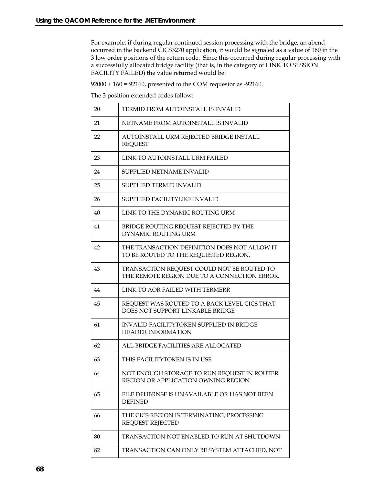For example, if during regular continued session processing with the bridge, an abend occurred in the backend CICS3270 application, it would be signaled as a value of 160 in the 3 low order positions of the return code. Since this occurred during regular processing with a successfully allocated bridge facility (that is, in the category of LINK TO SESSION FACILITY FAILED) the value returned would be:

92000 + 160 = 92160, presented to the COM requestor as -92160.

The 3 position extended codes follow:

| 20 | TERMID FROM AUTOINSTALL IS INVALID                                                         |
|----|--------------------------------------------------------------------------------------------|
| 21 | NETNAME FROM AUTOINSTALL IS INVALID                                                        |
| 22 | AUTOINSTALL URM REJECTED BRIDGE INSTALL<br><b>REQUEST</b>                                  |
| 23 | LINK TO AUTOINSTALL URM FAILED                                                             |
| 24 | SUPPLIED NETNAME INVALID                                                                   |
| 25 | SUPPLIED TERMID INVALID                                                                    |
| 26 | SUPPLIED FACILITYLIKE INVALID                                                              |
| 40 | LINK TO THE DYNAMIC ROUTING URM                                                            |
| 41 | BRIDGE ROUTING REQUEST REJECTED BY THE<br>DYNAMIC ROUTING URM                              |
| 42 | THE TRANSACTION DEFINITION DOES NOT ALLOW IT<br>TO BE ROUTED TO THE REQUESTED REGION.      |
| 43 | TRANSACTION REQUEST COULD NOT BE ROUTED TO<br>THE REMOTE REGION DUE TO A CONNECTION ERROR. |
| 44 | LINK TO AOR FAILED WITH TERMERR                                                            |
| 45 | REQUEST WAS ROUTED TO A BACK LEVEL CICS THAT<br>DOES NOT SUPPORT LINKABLE BRIDGE           |
| 61 | <b>INVALID FACILITYTOKEN SUPPLIED IN BRIDGE</b><br><b>HEADER INFORMATION</b>               |
| 62 | ALL BRIDGE FACILITIES ARE ALLOCATED                                                        |
| 63 | THIS FACILITYTOKEN IS IN USE                                                               |
| 64 | NOT ENOUGH STORAGE TO RUN REQUEST IN ROUTER<br>REGION OR APPLICATION OWNING REGION         |
| 65 | FILE DFHBRNSF IS UNAVAILABLE OR HAS NOT BEEN<br><b>DEFINED</b>                             |
| 66 | THE CICS REGION IS TERMINATING, PROCESSING<br><b>REQUEST REJECTED</b>                      |
| 80 | TRANSACTION NOT ENABLED TO RUN AT SHUTDOWN                                                 |
| 82 | TRANSACTION CAN ONLY BE SYSTEM ATTACHED, NOT                                               |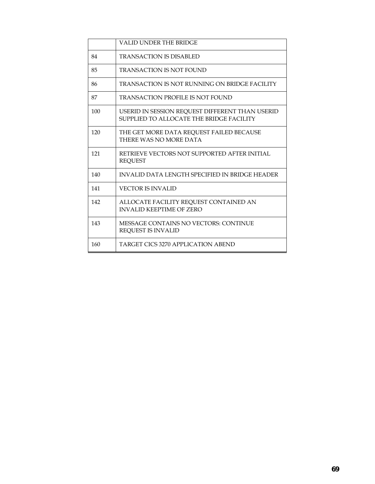|     | VALID UNDER THE BRIDGE                                                                      |
|-----|---------------------------------------------------------------------------------------------|
| 84  | TRANSACTION IS DISABLED                                                                     |
| 85  | <b>TRANSACTION IS NOT FOUND</b>                                                             |
| 86  | TRANSACTION IS NOT RUNNING ON BRIDGE FACILITY                                               |
| 87  | TRANSACTION PROFILE IS NOT FOUND                                                            |
| 100 | USERID IN SESSION REQUEST DIFFERENT THAN USERID<br>SUPPLIED TO ALLOCATE THE BRIDGE FACILITY |
| 120 | THE GET MORE DATA REOUEST FAILED BECAUSE<br>THERE WAS NO MORE DATA                          |
| 121 | RETRIEVE VECTORS NOT SUPPORTED AFTER INITIAL<br><b>REQUEST</b>                              |
| 140 | INVALID DATA LENGTH SPECIFIED IN BRIDGE HEADER                                              |
| 141 | <b>VECTOR IS INVALID</b>                                                                    |
| 142 | ALLOCATE FACILITY REQUEST CONTAINED AN<br><b>INVALID KEEPTIME OF ZERO</b>                   |
| 143 | <b>MESSAGE CONTAINS NO VECTORS: CONTINUE</b><br><b>REQUEST IS INVALID</b>                   |
| 160 | TARGET CICS 3270 APPLICATION ABEND                                                          |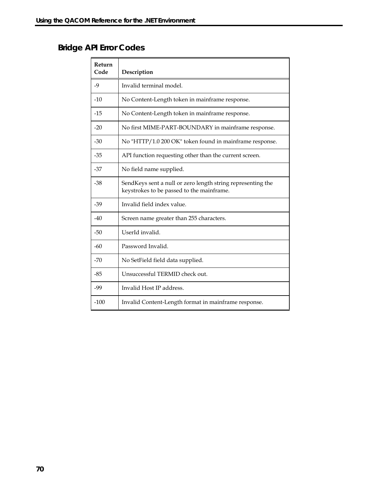# **Bridge API Error Codes**

| Return<br>Code | Description                                                                                              |
|----------------|----------------------------------------------------------------------------------------------------------|
| $-9$           | Invalid terminal model.                                                                                  |
| $-10$          | No Content-Length token in mainframe response.                                                           |
| $-15$          | No Content-Length token in mainframe response.                                                           |
| $-20$          | No first MIME-PART-BOUNDARY in mainframe response.                                                       |
| $-30$          | No "HTTP/1.0 200 OK" token found in mainframe response.                                                  |
| $-35$          | API function requesting other than the current screen.                                                   |
| $-37$          | No field name supplied.                                                                                  |
| $-38$          | SendKeys sent a null or zero length string representing the<br>keystrokes to be passed to the mainframe. |
| $-39$          | Invalid field index value.                                                                               |
| $-40$          | Screen name greater than 255 characters.                                                                 |
| $-50$          | UserId invalid.                                                                                          |
| $-60$          | Password Invalid.                                                                                        |
| $-70$          | No SetField field data supplied.                                                                         |
| $-85$          | Unsuccessful TERMID check out.                                                                           |
| $-99$          | Invalid Host IP address.                                                                                 |
| $-100$         | Invalid Content-Length format in mainframe response.                                                     |